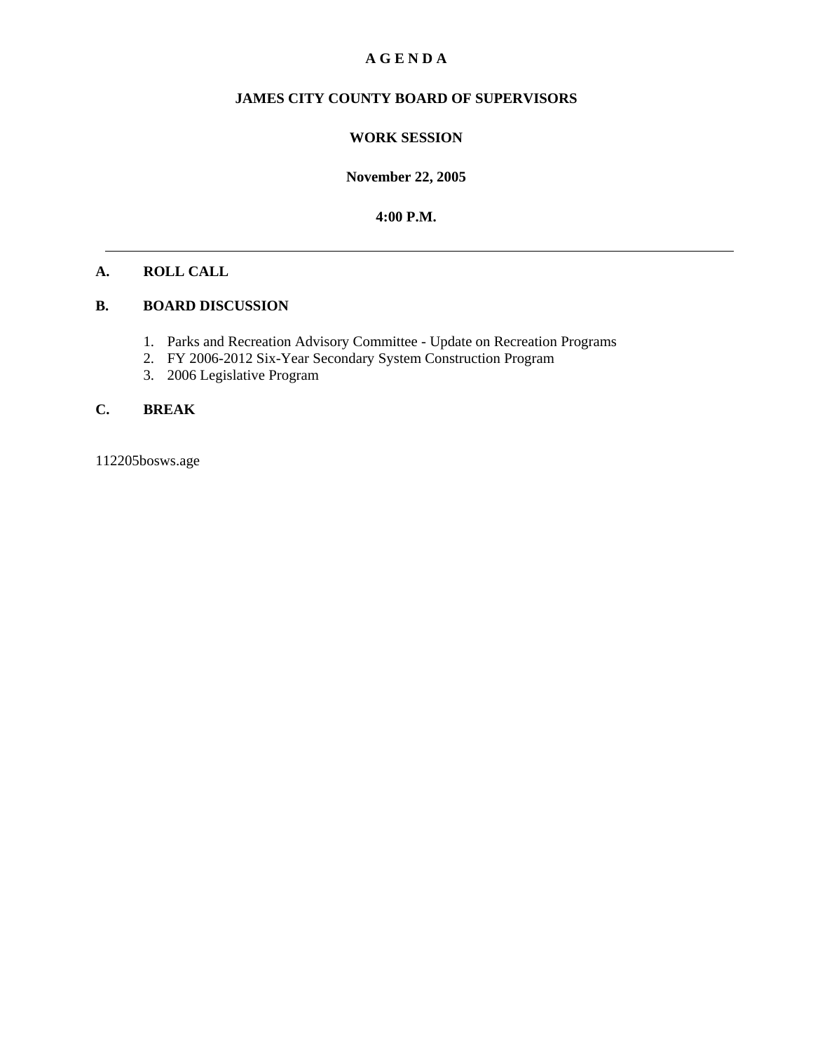### **A G E N D A**

# **JAMES CITY COUNTY BOARD OF SUPERVISORS**

#### **WORK SESSION**

**November 22, 2005**

**4:00 P.M.**

#### **A. ROLL CALL**

#### **B. BOARD DISCUSSION**

- 1. Parks and Recreation Advisory Committee Update on Recreation Programs
- 2. FY 2006-2012 Six-Year Secondary System Construction Program
- 3. 2006 Legislative Program

### **C. BREAK**

112205bosws.age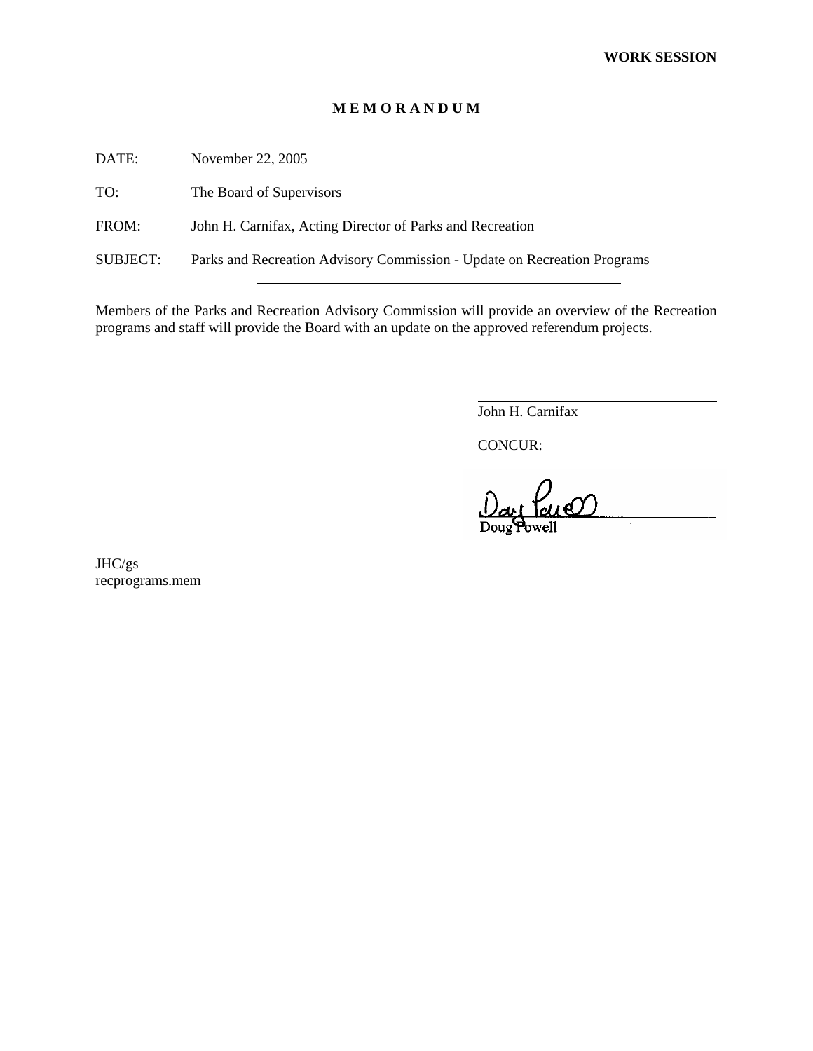#### **M E M O R A N D U M**

DATE: November 22, 2005

TO: The Board of Supervisors

FROM: John H. Carnifax, Acting Director of Parks and Recreation

SUBJECT: Parks and Recreation Advisory Commission - Update on Recreation Programs

Members of the Parks and Recreation Advisory Commission will provide an overview of the Recreation programs and staff will provide the Board with an update on the approved referendum projects.

John H. Carnifax

CONCUR:

 $\overline{a}$ 

PaneO

JHC/gs recprograms.mem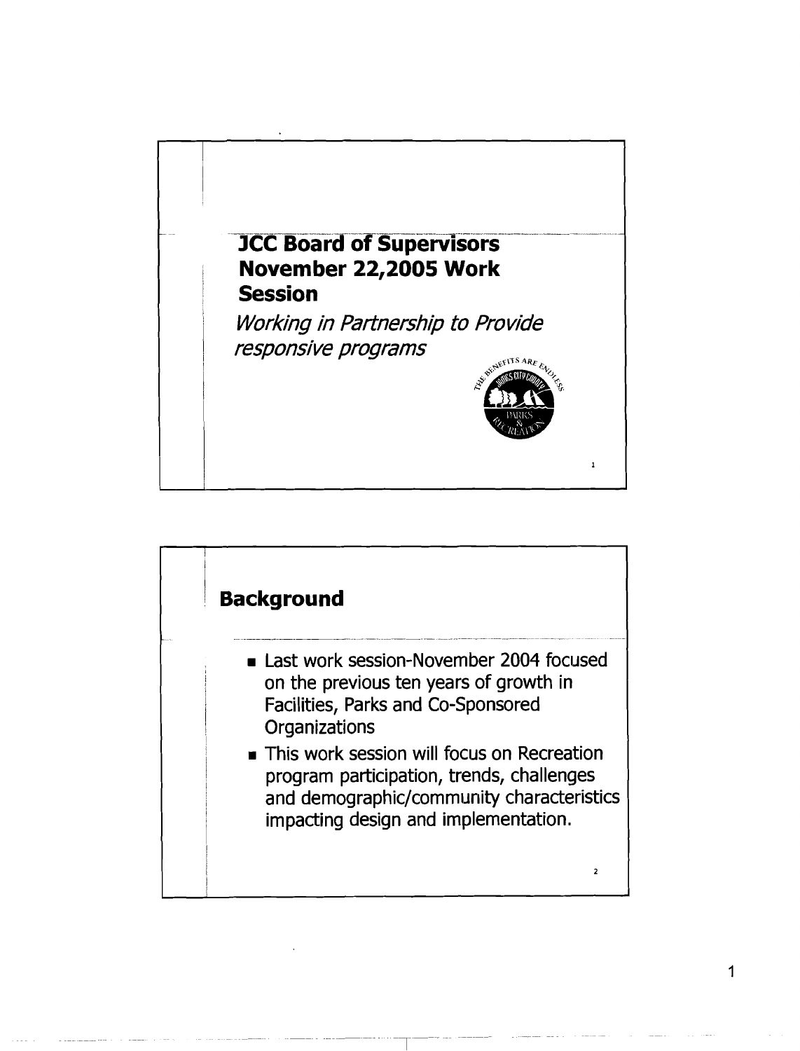

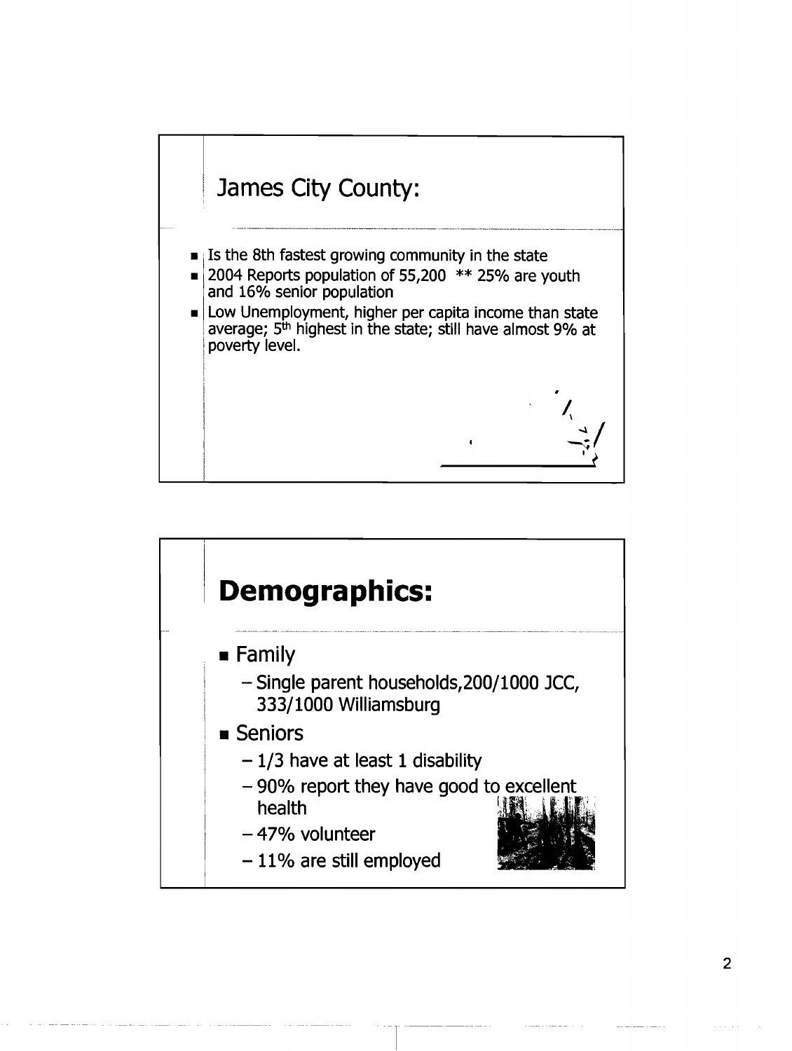

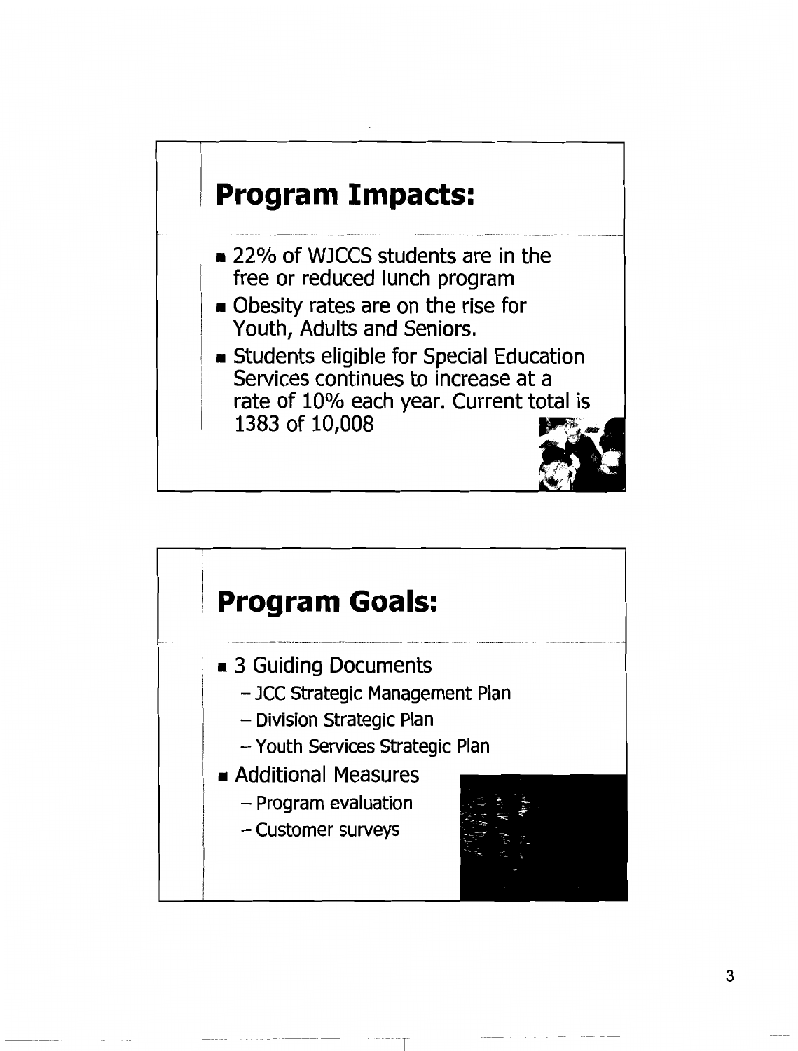

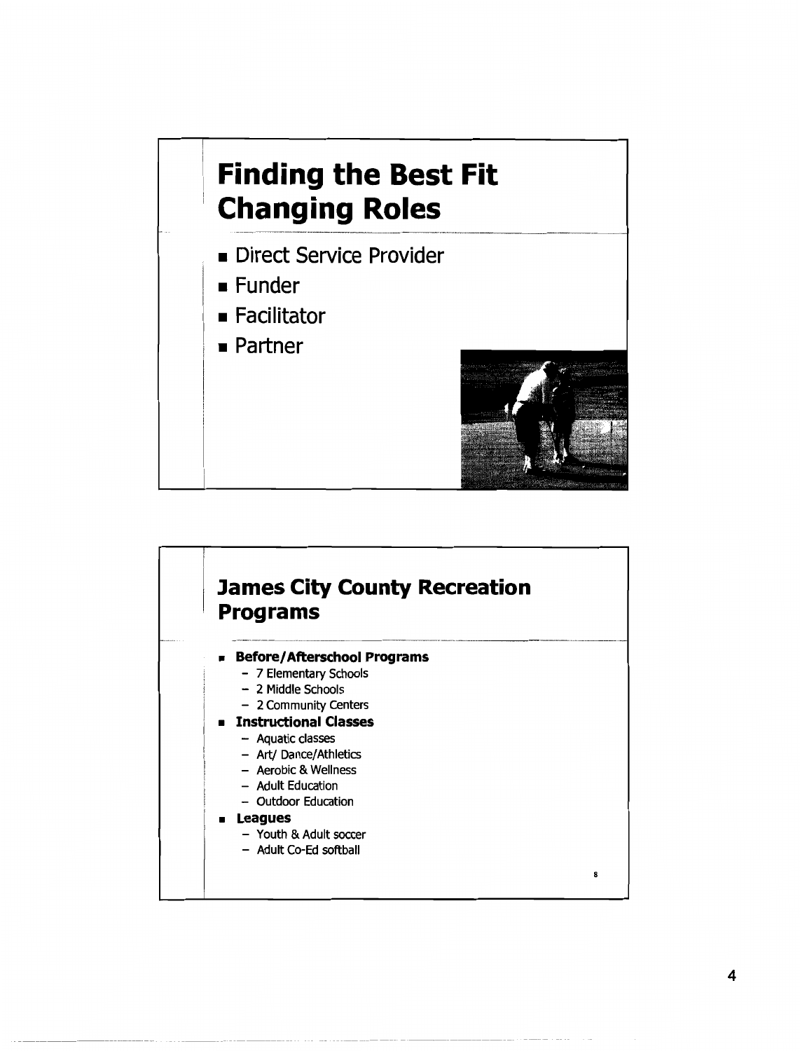# **Finding the Best Fit Changing Roles**

- Direct Service Provider
- $\blacksquare$  Funder
- Facilitator
- $\blacksquare$  Partner



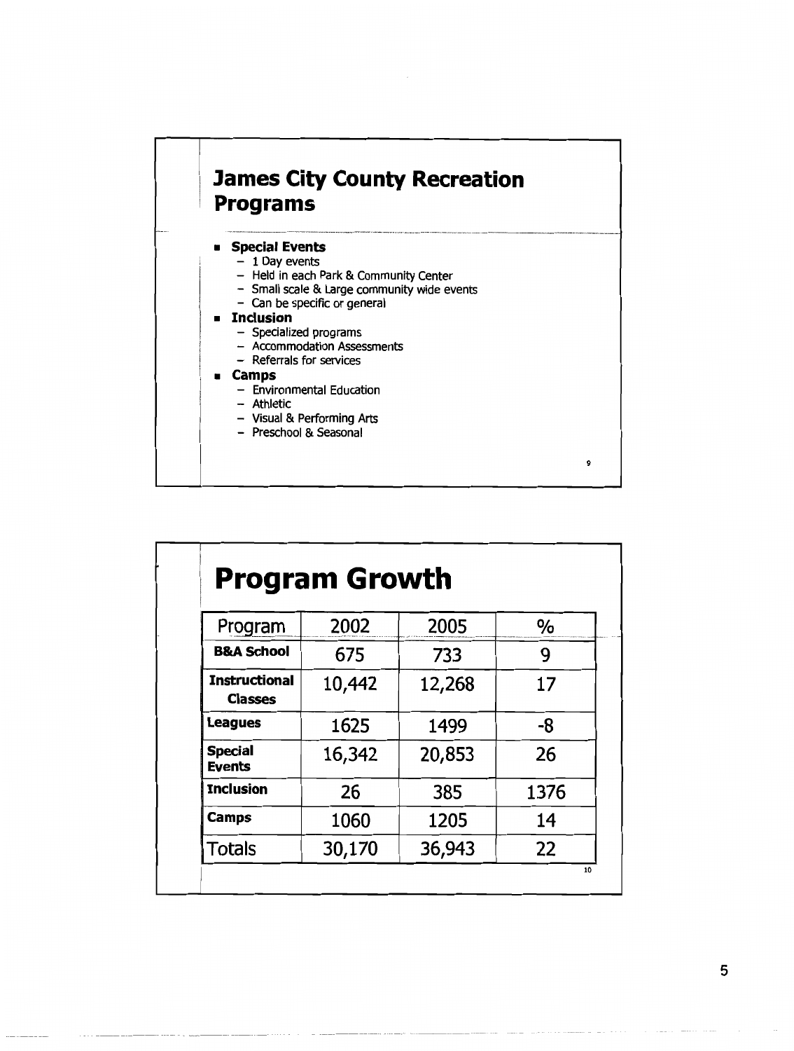

- **u** Camps
	- Environmental Education
	- Athletic
	- Visual & Performing Arts
	- Preschool & Seasonal

| Program                                | 2002   | 2005   | %    |
|----------------------------------------|--------|--------|------|
| <b>B&amp;A School</b>                  | 675    | 733    | 9    |
| <b>Instructional</b><br><b>Classes</b> | 10,442 | 12,268 | 17   |
| <b>Leagues</b>                         | 1625   | 1499   | -8   |
| <b>Special</b><br><b>Events</b>        | 16,342 | 20,853 | 26   |
| <b>Inclusion</b>                       | 26     | 385    | 1376 |
| Camps                                  | 1060   | 1205   | 14   |
| Totals                                 | 30,170 | 36,943 | 22   |

9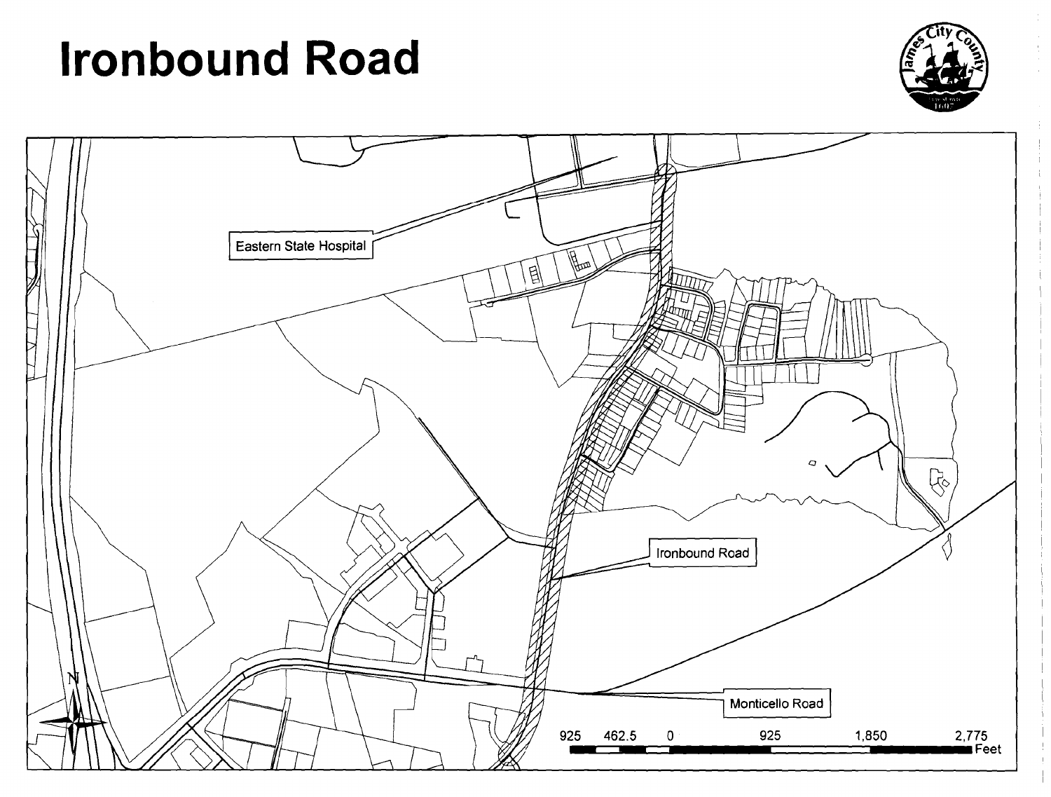# **Ironbound Road**



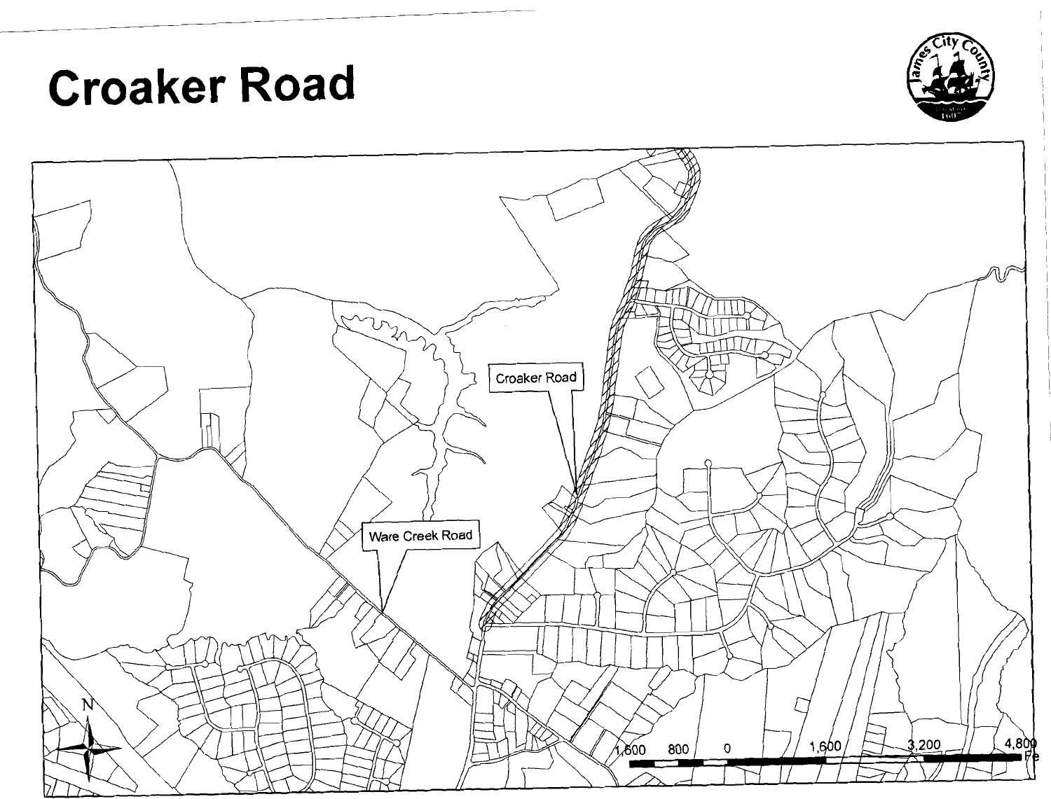# **Croaker Road**



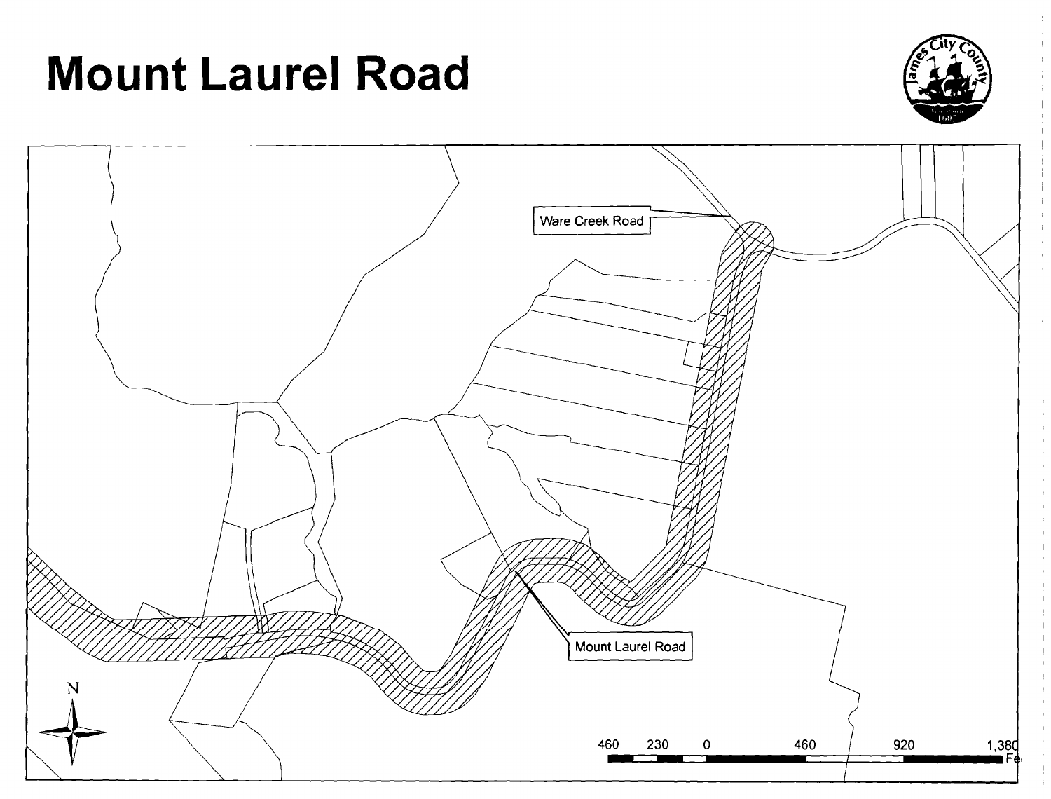# **Mount Laurel Road**



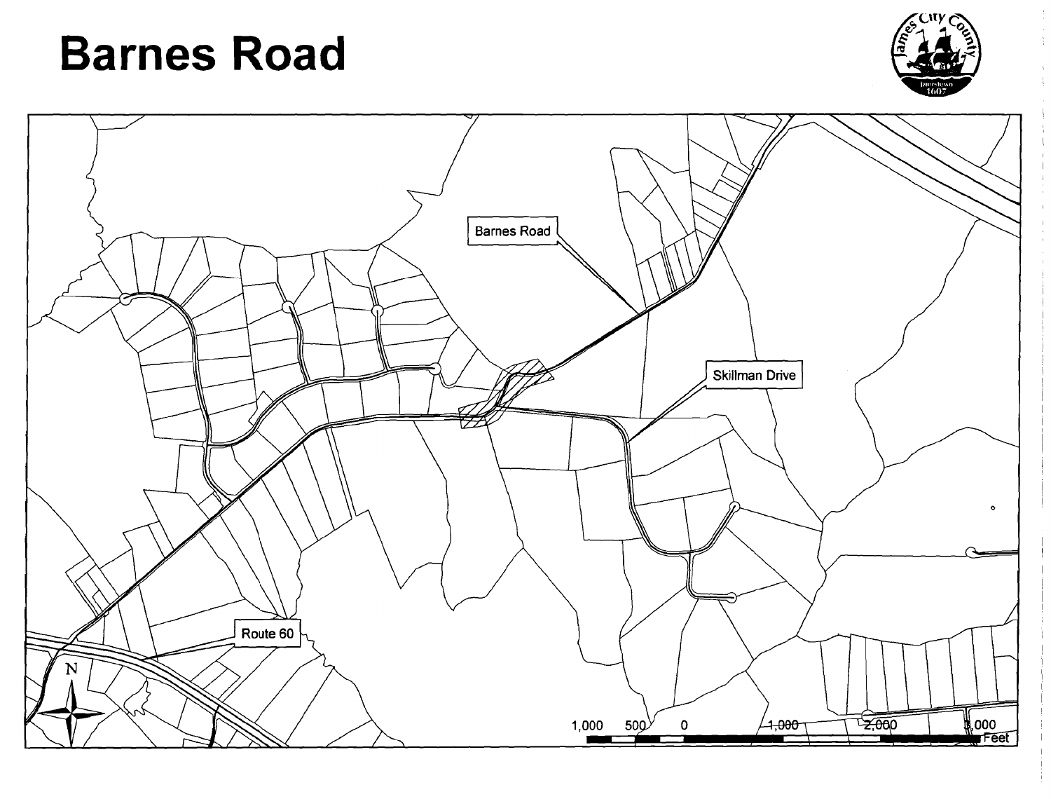# **Barnes Road**



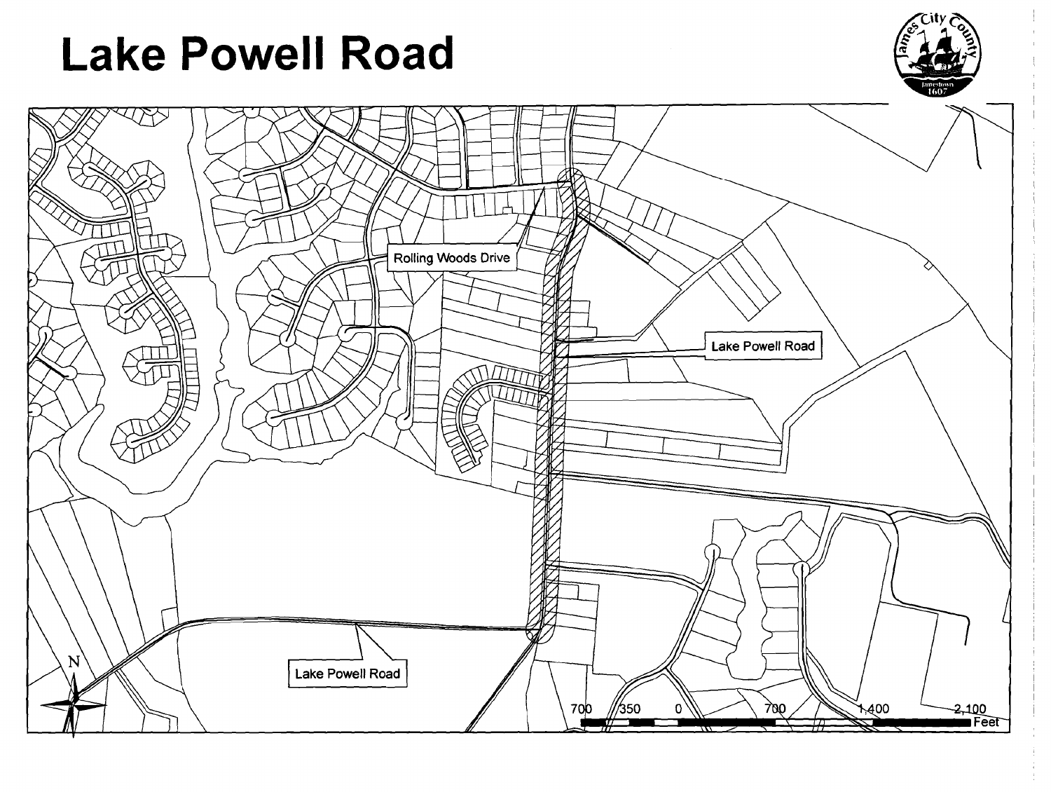# **Lake Powell Road**



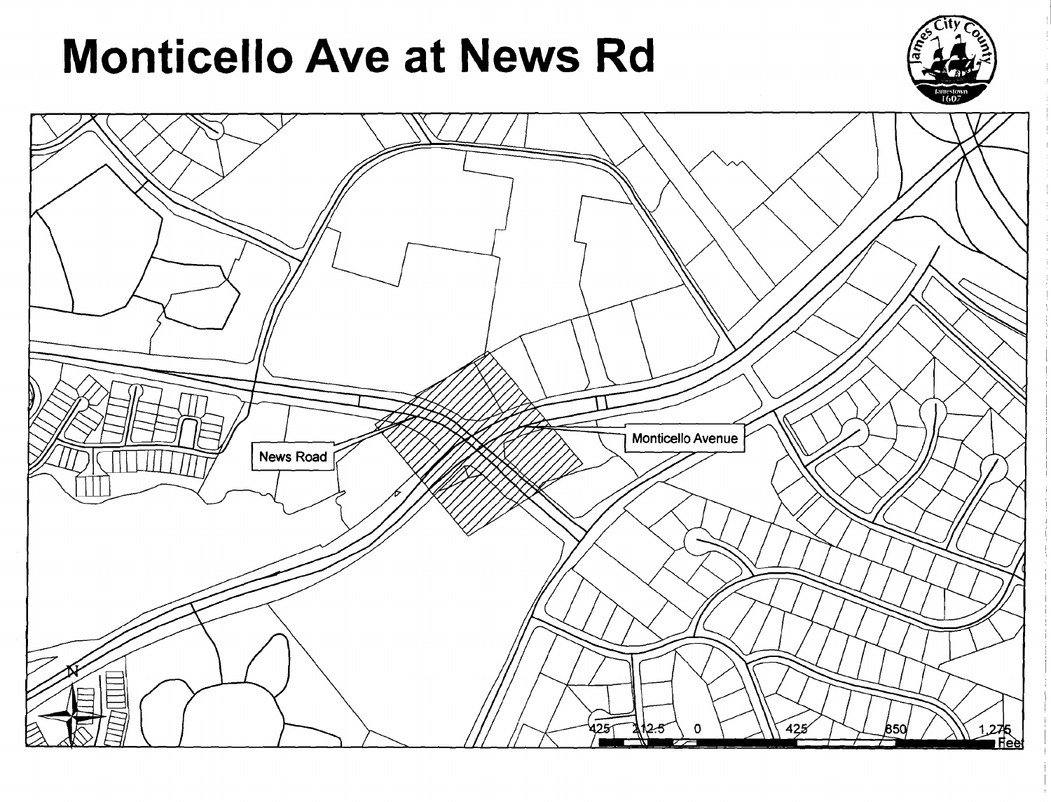# **Monticello Ave at News Rd**



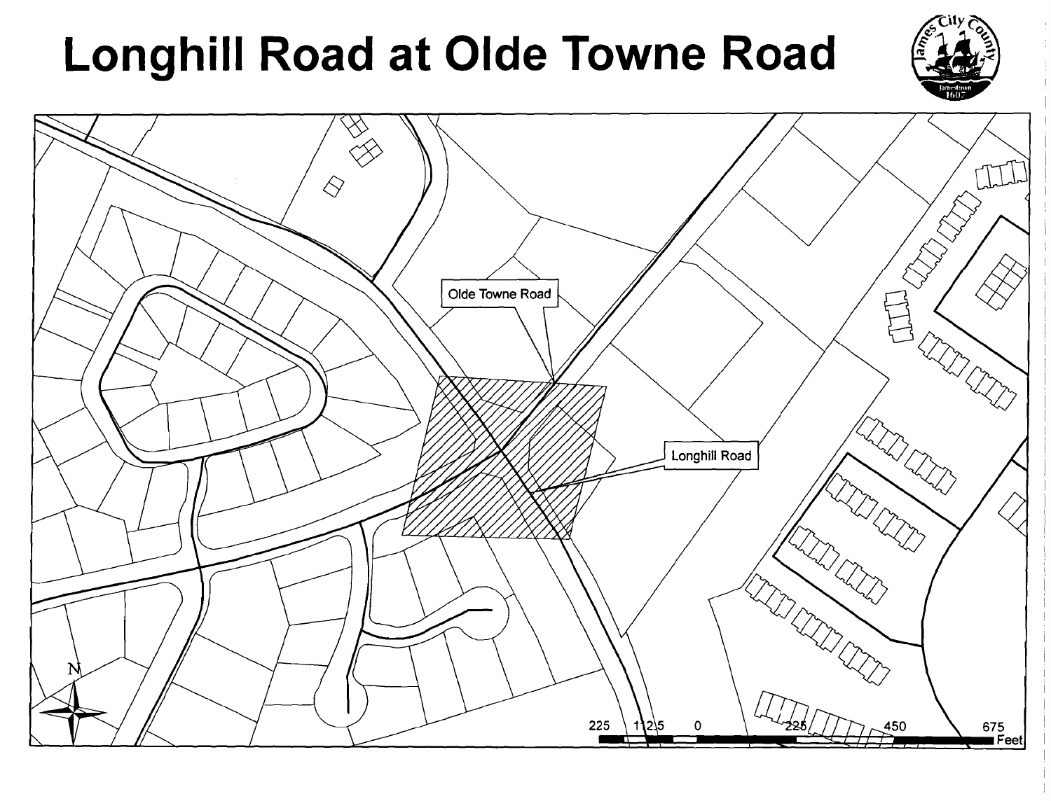# Longhill Road at Olde Towne Road



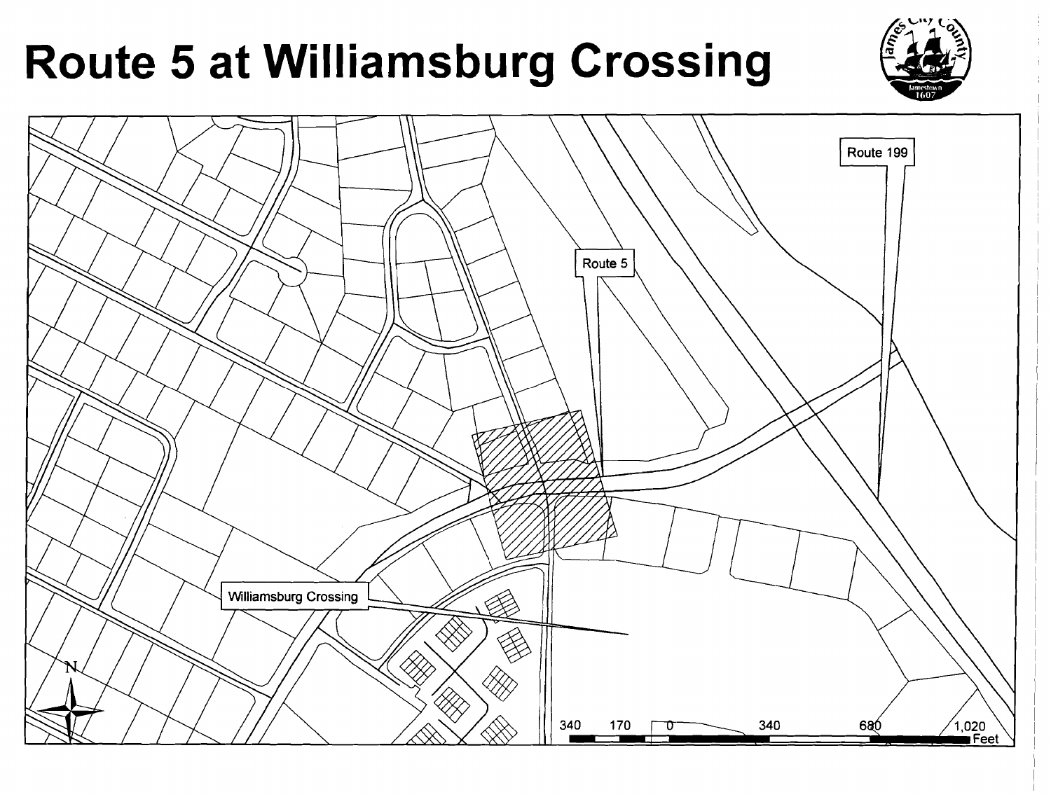# **Route 5 at Williamsburg Crossing**

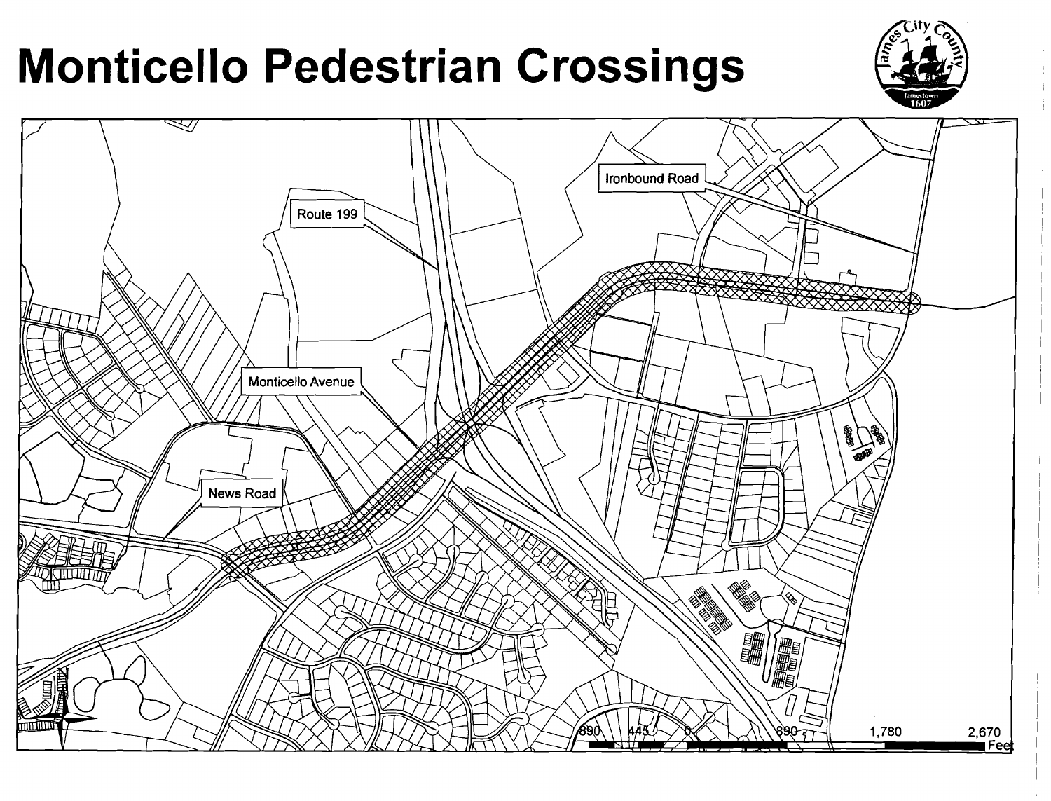# **Monticello Pedestrian Crossings**



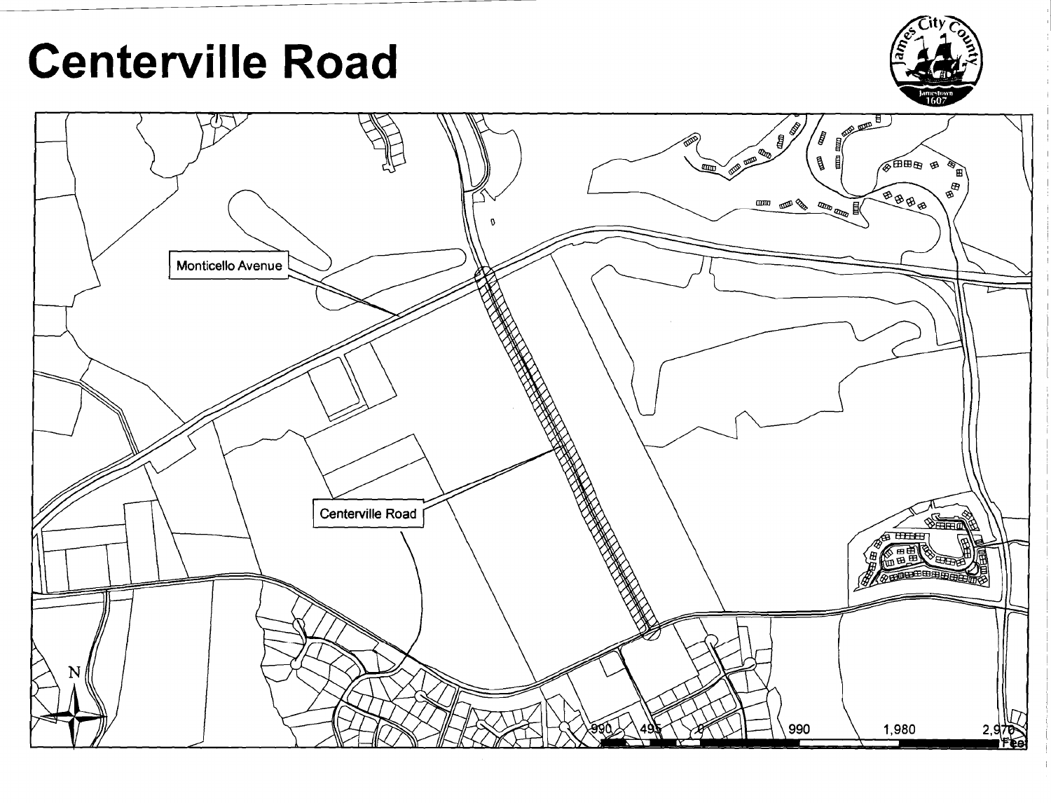# **Centerville Road**



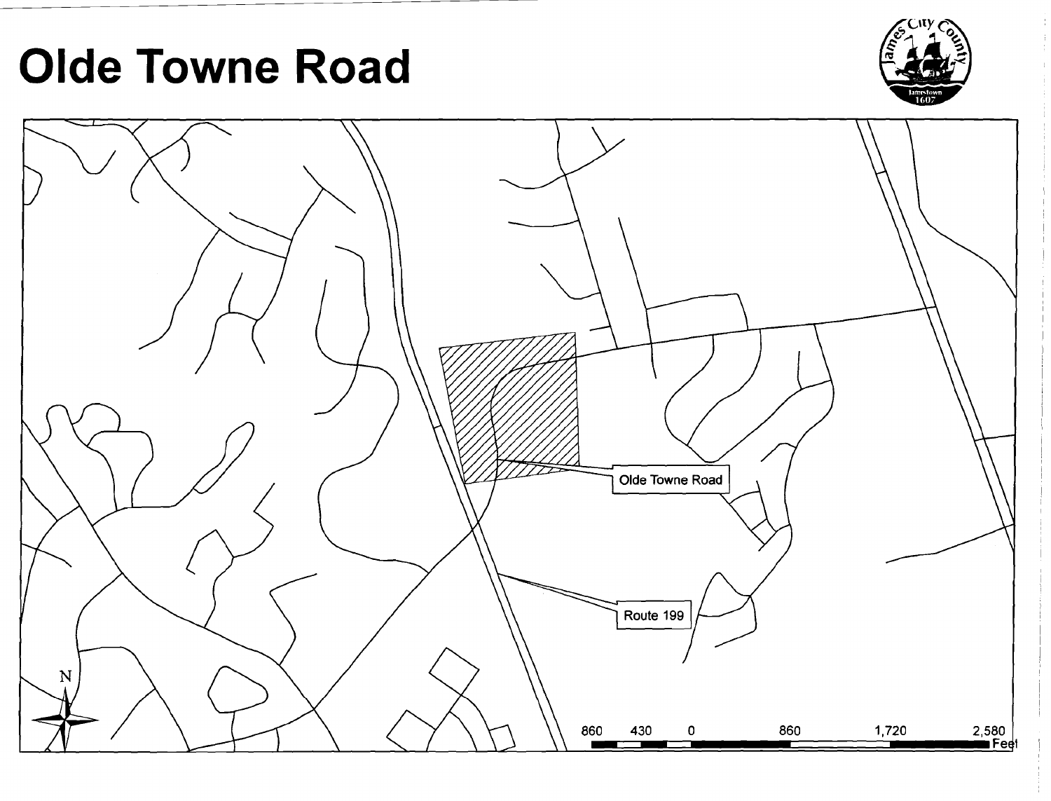# **Olde Towne Road**



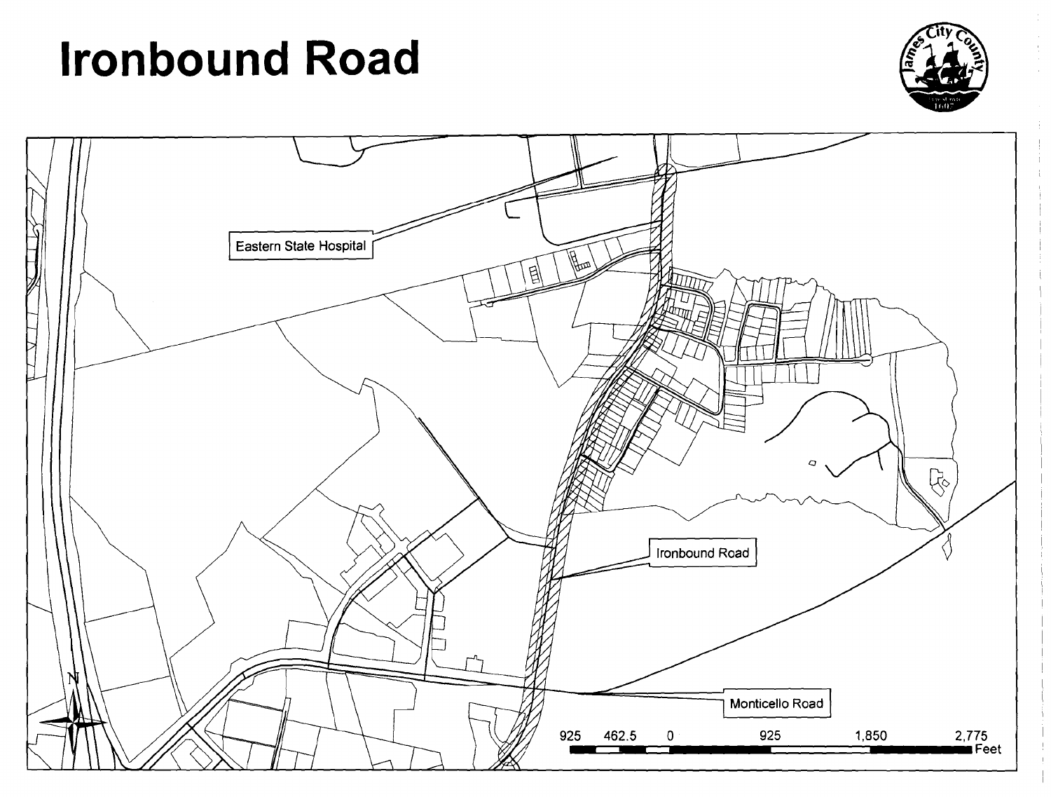# **Ironbound Road**



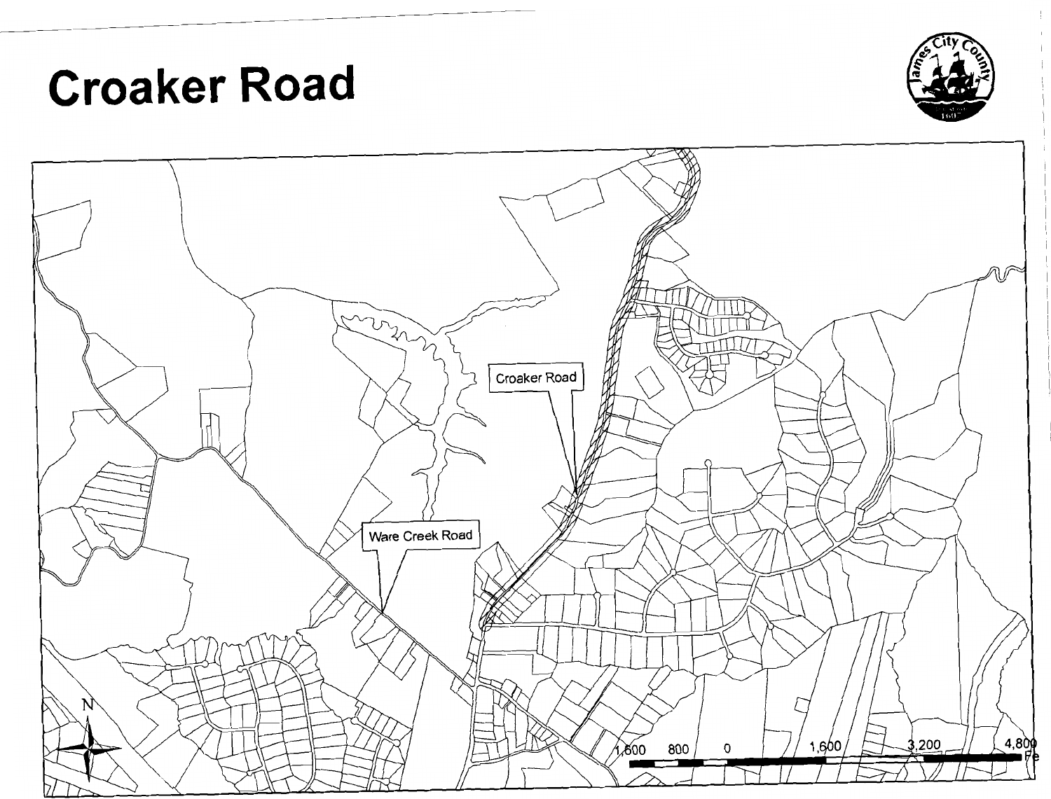# **Croaker Road**



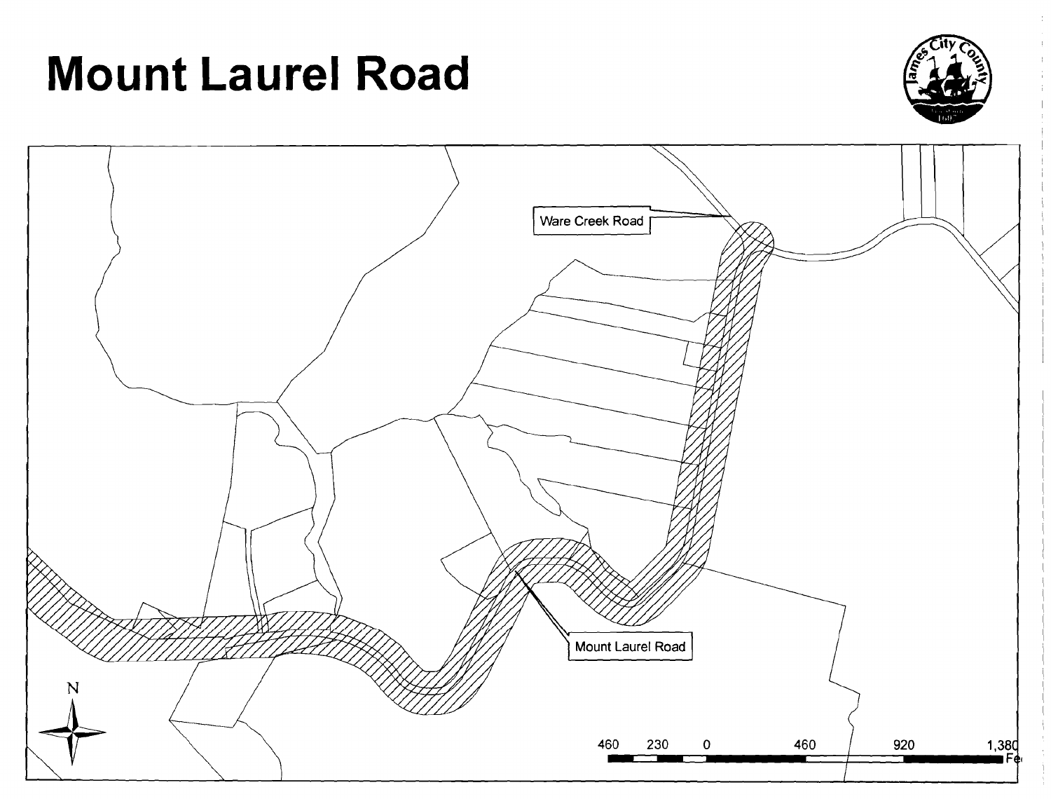# **Mount Laurel Road**



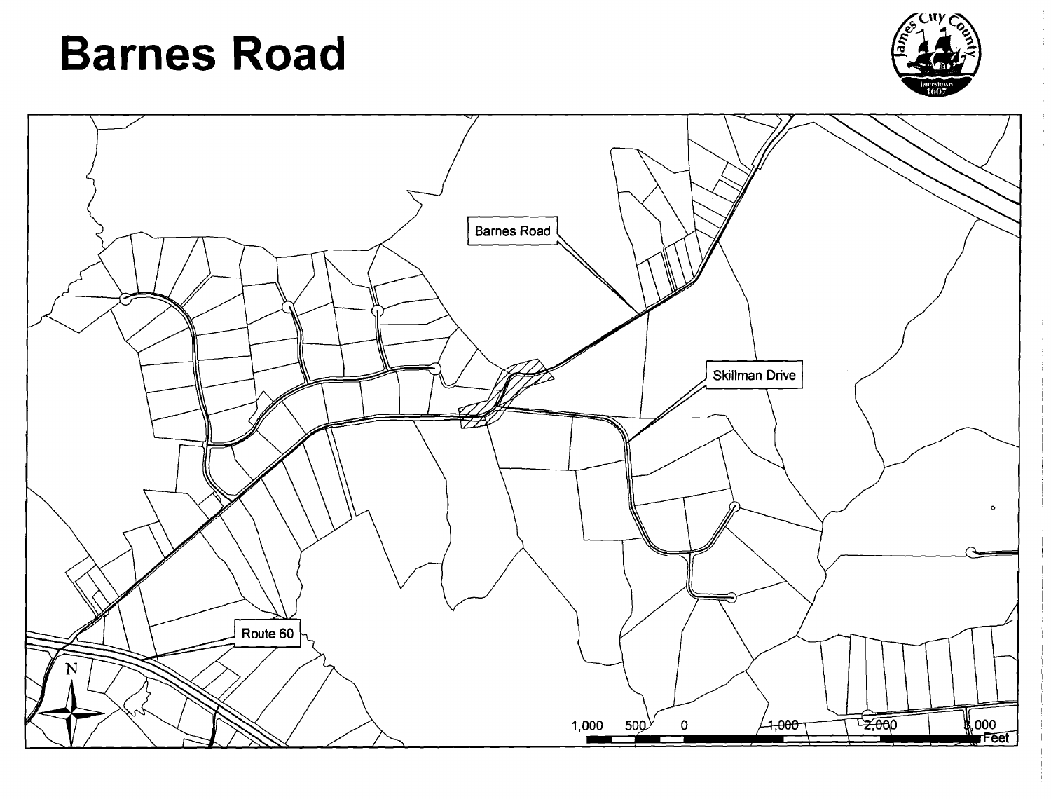# **Barnes Road**



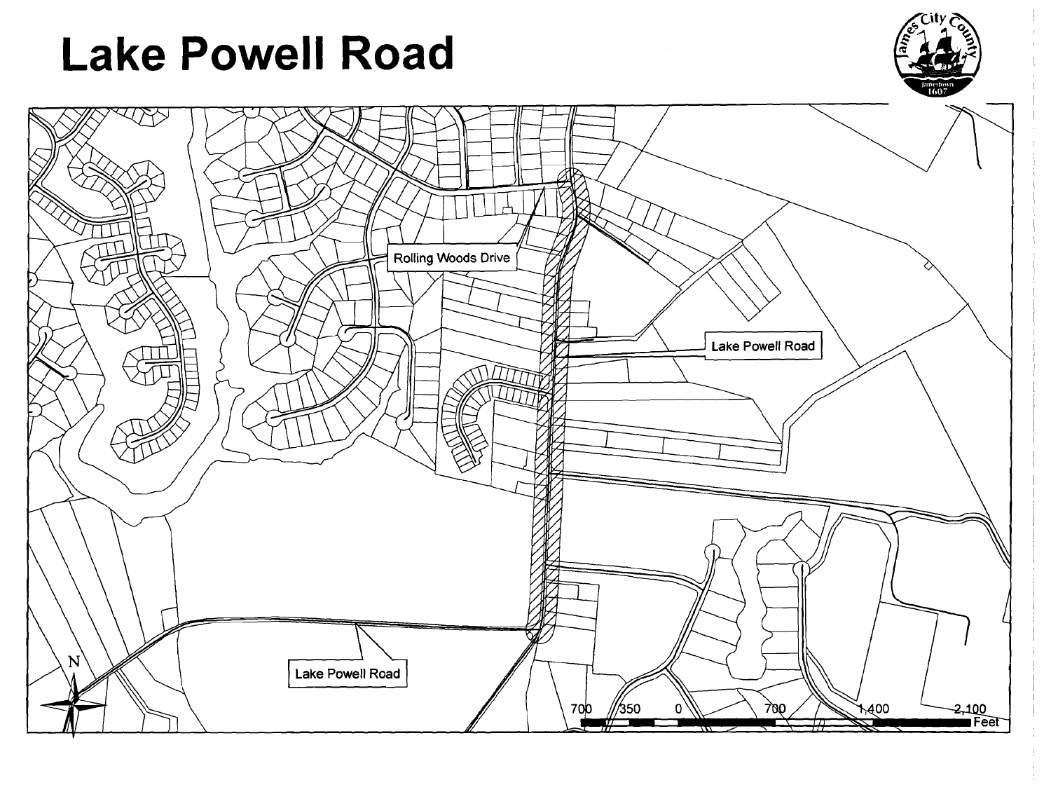# **Lake Powell Road**



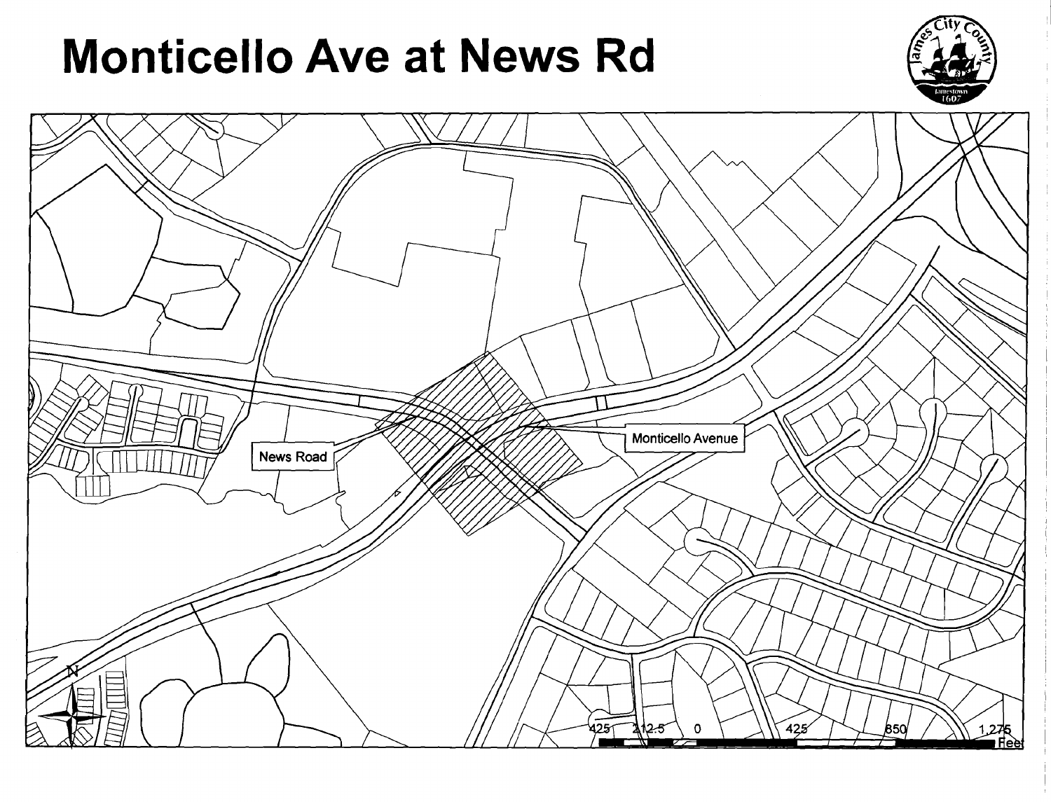# **Monticello Ave at News Rd**



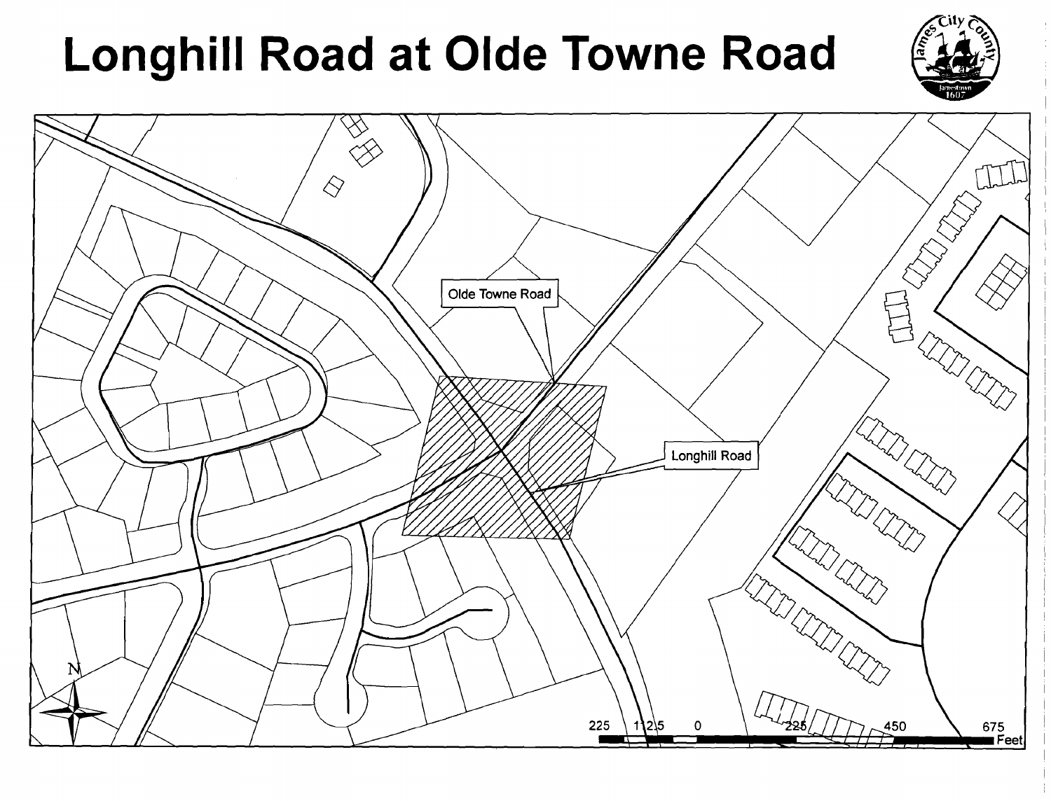# Longhill Road at Olde Towne Road



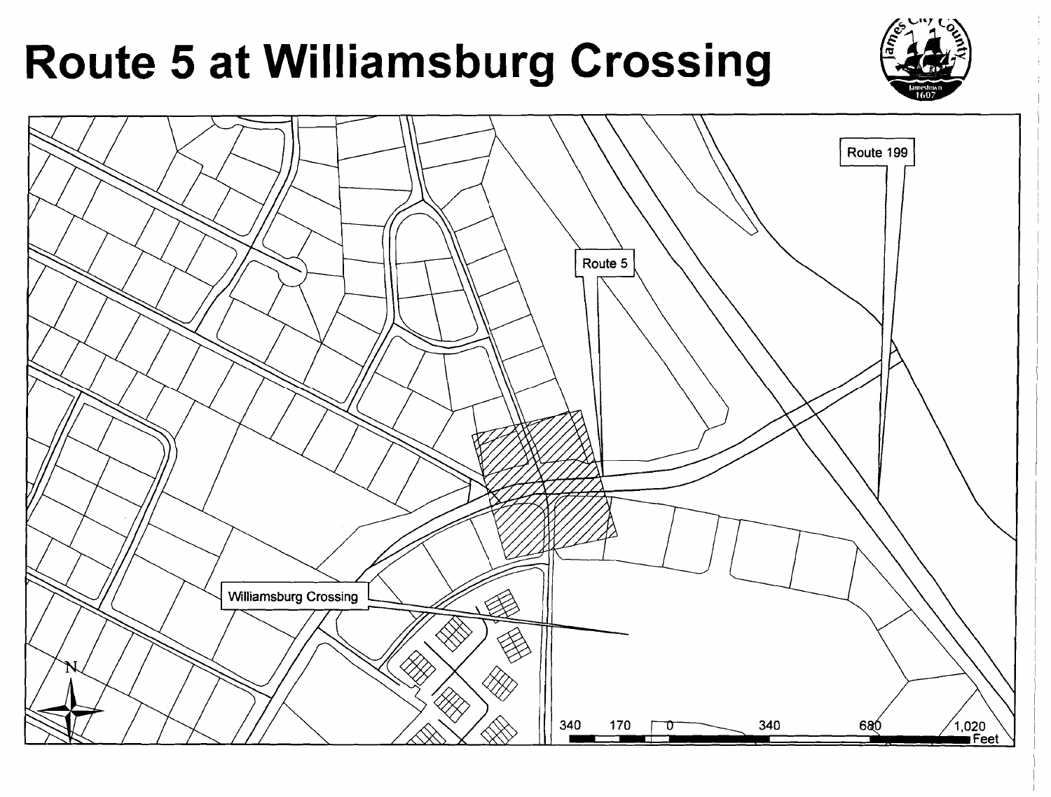# **Route 5 at Williamsburg Crossing**

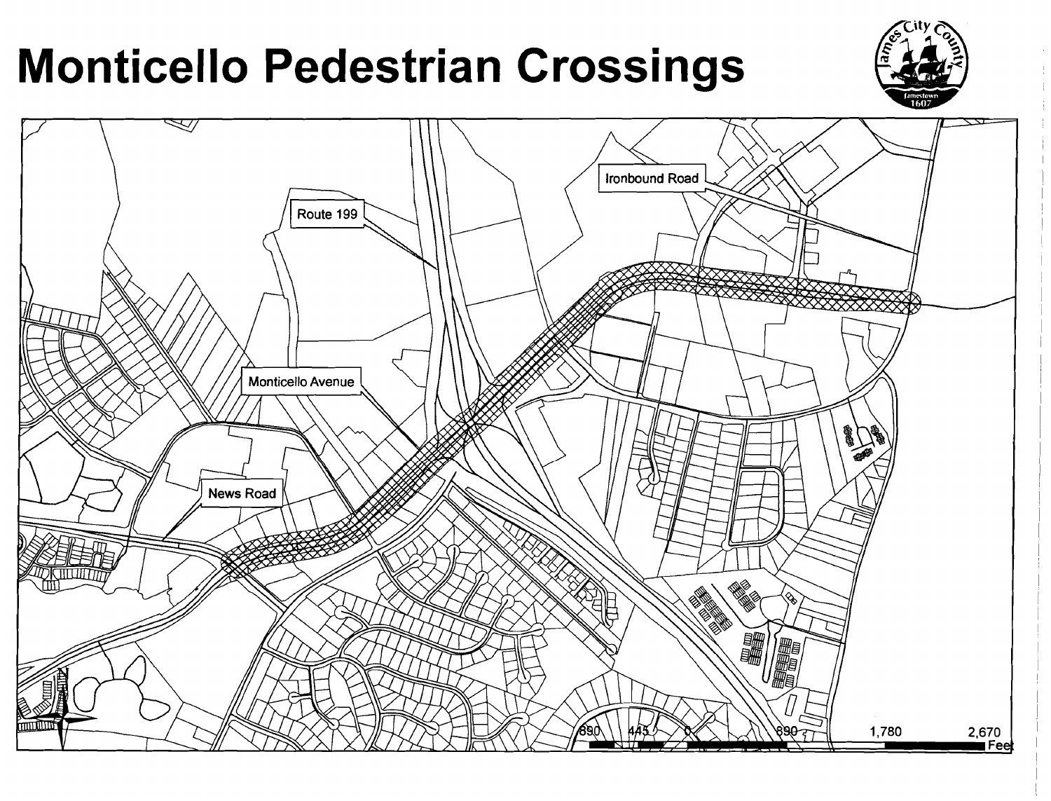# **Monticello Pedestrian Crossings**



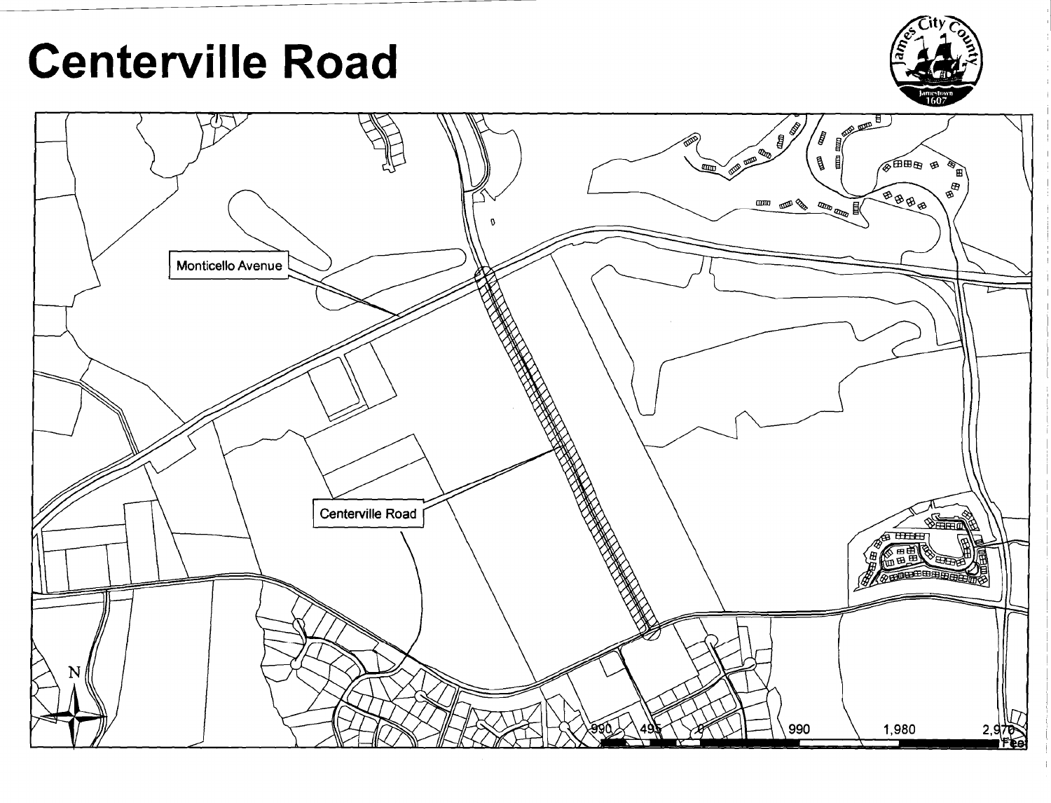# **Centerville Road**



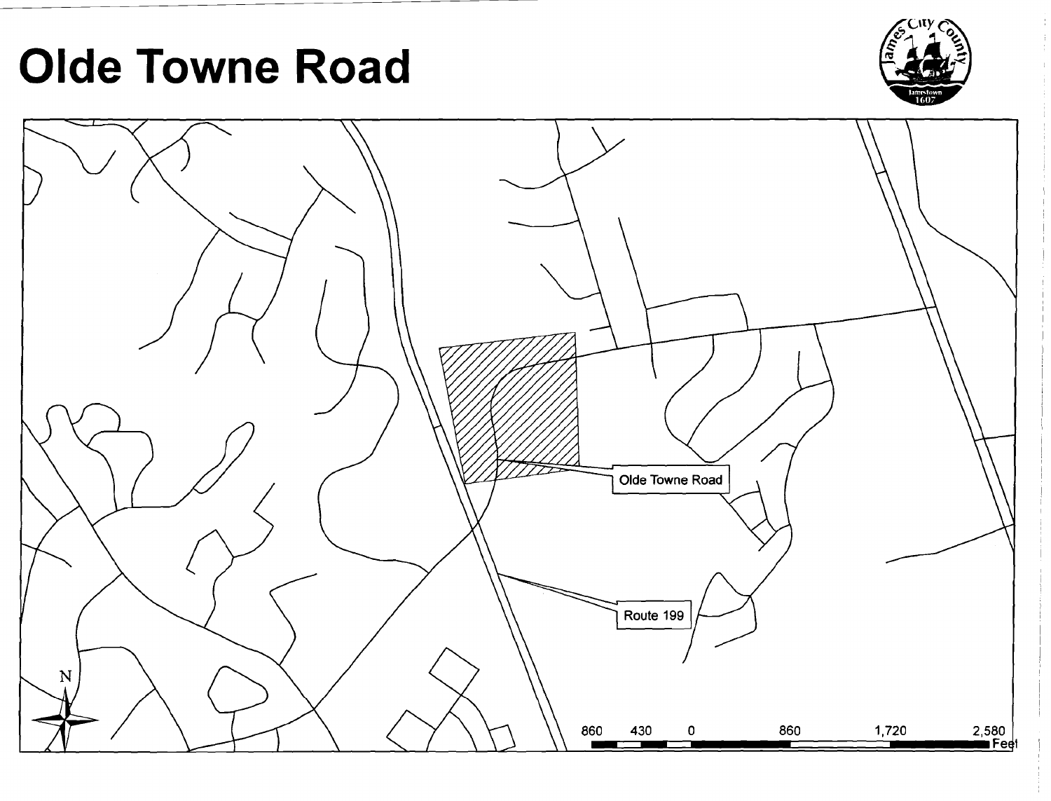# **Olde Towne Road**



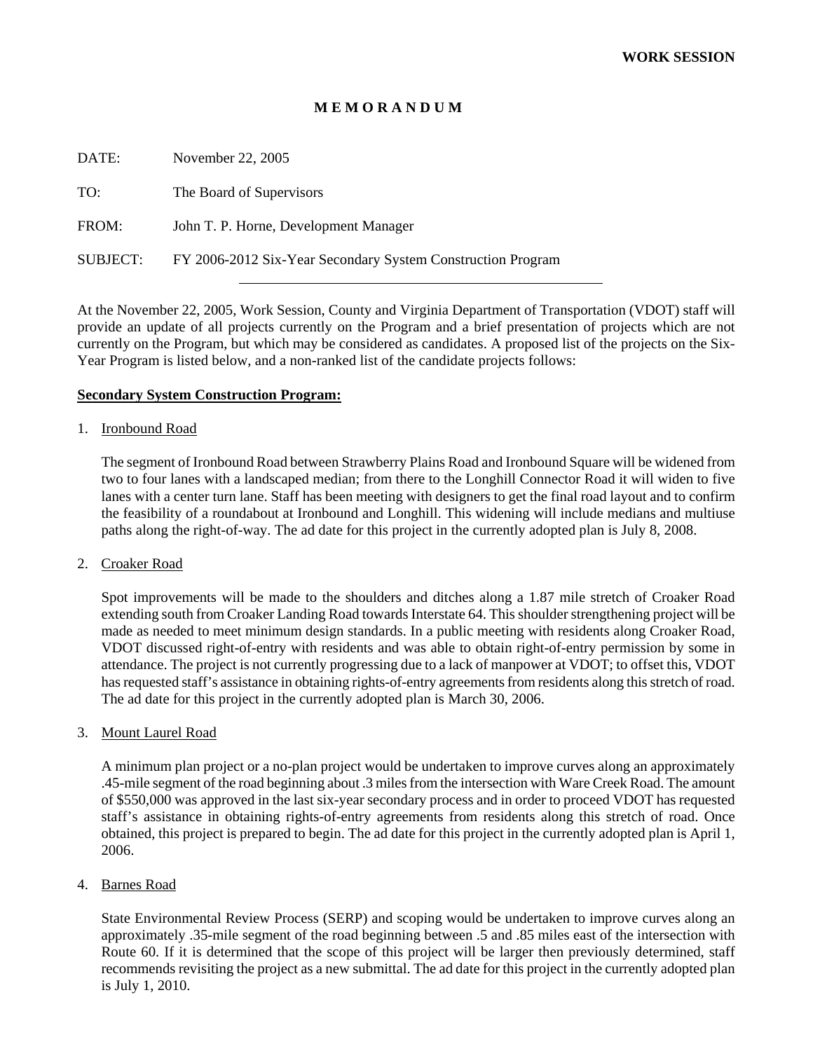#### **M E M O R A N D U M**

| DATE:    | November 22, 2005                                           |
|----------|-------------------------------------------------------------|
| TO:      | The Board of Supervisors                                    |
| FROM:    | John T. P. Horne, Development Manager                       |
| SUBJECT: | FY 2006-2012 Six-Year Secondary System Construction Program |

At the November 22, 2005, Work Session, County and Virginia Department of Transportation (VDOT) staff will provide an update of all projects currently on the Program and a brief presentation of projects which are not currently on the Program, but which may be considered as candidates. A proposed list of the projects on the Six-Year Program is listed below, and a non-ranked list of the candidate projects follows:

#### **Secondary System Construction Program:**

#### 1. Ironbound Road

The segment of Ironbound Road between Strawberry Plains Road and Ironbound Square will be widened from two to four lanes with a landscaped median; from there to the Longhill Connector Road it will widen to five lanes with a center turn lane. Staff has been meeting with designers to get the final road layout and to confirm the feasibility of a roundabout at Ironbound and Longhill. This widening will include medians and multiuse paths along the right-of-way. The ad date for this project in the currently adopted plan is July 8, 2008.

#### 2. Croaker Road

Spot improvements will be made to the shoulders and ditches along a 1.87 mile stretch of Croaker Road extending south from Croaker Landing Road towards Interstate 64. This shoulder strengthening project will be made as needed to meet minimum design standards. In a public meeting with residents along Croaker Road, VDOT discussed right-of-entry with residents and was able to obtain right-of-entry permission by some in attendance. The project is not currently progressing due to a lack of manpower at VDOT; to offset this, VDOT has requested staff's assistance in obtaining rights-of-entry agreements from residents along this stretch of road. The ad date for this project in the currently adopted plan is March 30, 2006.

#### 3. Mount Laurel Road

A minimum plan project or a no-plan project would be undertaken to improve curves along an approximately .45-mile segment of the road beginning about .3 miles from the intersection with Ware Creek Road. The amount of \$550,000 was approved in the last six-year secondary process and in order to proceed VDOT has requested staff's assistance in obtaining rights-of-entry agreements from residents along this stretch of road. Once obtained, this project is prepared to begin. The ad date for this project in the currently adopted plan is April 1, 2006.

#### 4. Barnes Road

State Environmental Review Process (SERP) and scoping would be undertaken to improve curves along an approximately .35-mile segment of the road beginning between .5 and .85 miles east of the intersection with Route 60. If it is determined that the scope of this project will be larger then previously determined, staff recommends revisiting the project as a new submittal. The ad date for this project in the currently adopted plan is July 1, 2010.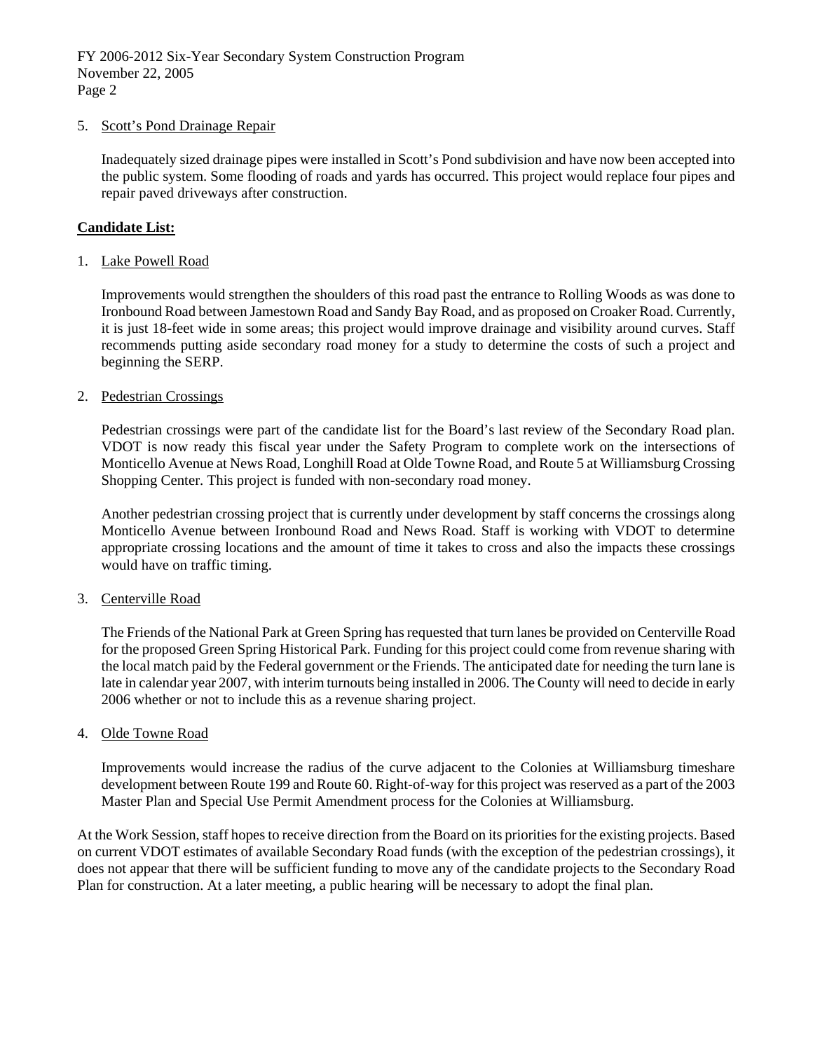#### 5. Scott's Pond Drainage Repair

Inadequately sized drainage pipes were installed in Scott's Pond subdivision and have now been accepted into the public system. Some flooding of roads and yards has occurred. This project would replace four pipes and repair paved driveways after construction.

#### **Candidate List:**

#### 1. Lake Powell Road

Improvements would strengthen the shoulders of this road past the entrance to Rolling Woods as was done to Ironbound Road between Jamestown Road and Sandy Bay Road, and as proposed on Croaker Road. Currently, it is just 18-feet wide in some areas; this project would improve drainage and visibility around curves. Staff recommends putting aside secondary road money for a study to determine the costs of such a project and beginning the SERP.

#### 2. Pedestrian Crossings

Pedestrian crossings were part of the candidate list for the Board's last review of the Secondary Road plan. VDOT is now ready this fiscal year under the Safety Program to complete work on the intersections of Monticello Avenue at News Road, Longhill Road at Olde Towne Road, and Route 5 at Williamsburg Crossing Shopping Center. This project is funded with non-secondary road money.

Another pedestrian crossing project that is currently under development by staff concerns the crossings along Monticello Avenue between Ironbound Road and News Road. Staff is working with VDOT to determine appropriate crossing locations and the amount of time it takes to cross and also the impacts these crossings would have on traffic timing.

#### 3. Centerville Road

 The Friends of the National Park at Green Spring has requested that turn lanes be provided on Centerville Road for the proposed Green Spring Historical Park. Funding for this project could come from revenue sharing with the local match paid by the Federal government or the Friends. The anticipated date for needing the turn lane is late in calendar year 2007, with interim turnouts being installed in 2006. The County will need to decide in early 2006 whether or not to include this as a revenue sharing project.

#### 4. Olde Towne Road

Improvements would increase the radius of the curve adjacent to the Colonies at Williamsburg timeshare development between Route 199 and Route 60. Right-of-way for this project was reserved as a part of the 2003 Master Plan and Special Use Permit Amendment process for the Colonies at Williamsburg.

At the Work Session, staff hopes to receive direction from the Board on its priorities for the existing projects. Based on current VDOT estimates of available Secondary Road funds (with the exception of the pedestrian crossings), it does not appear that there will be sufficient funding to move any of the candidate projects to the Secondary Road Plan for construction. At a later meeting, a public hearing will be necessary to adopt the final plan.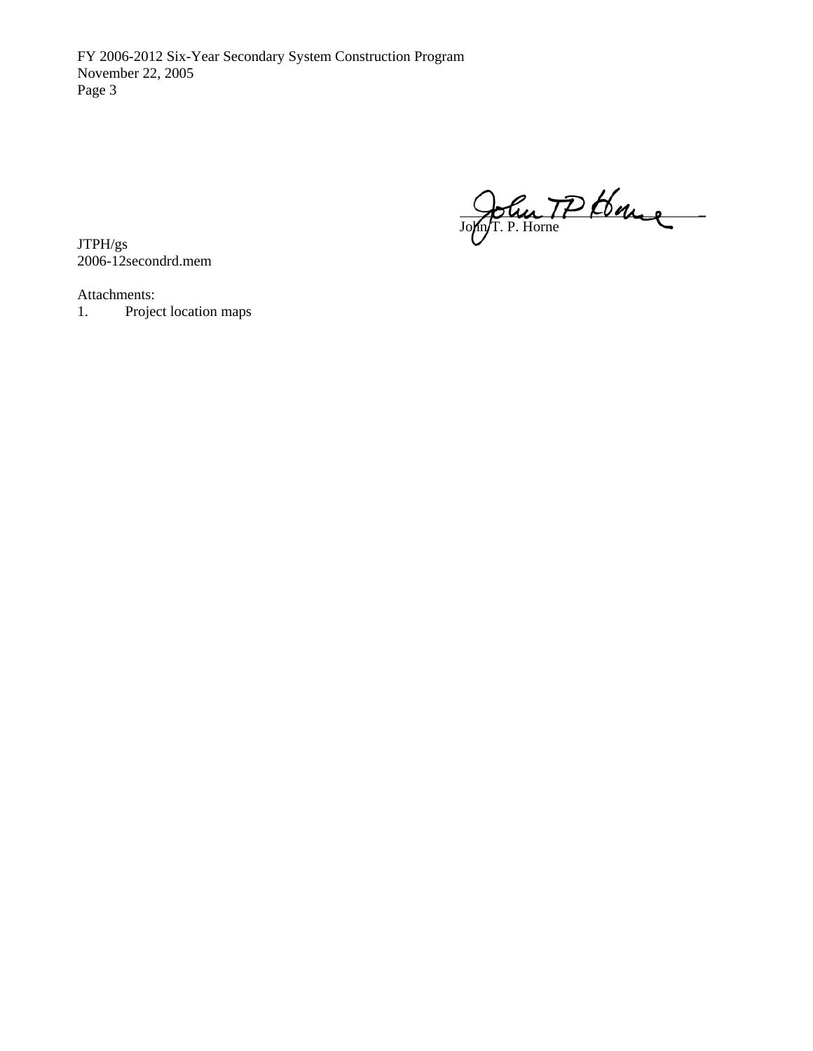FY 2006-2012 Six-Year Secondary System Construction Program November 22, 2005 Page 3

John IP Loge . John/T. P. Horne

JTPH/gs 2006-12secondrd.mem

Attachments:

1. Project location maps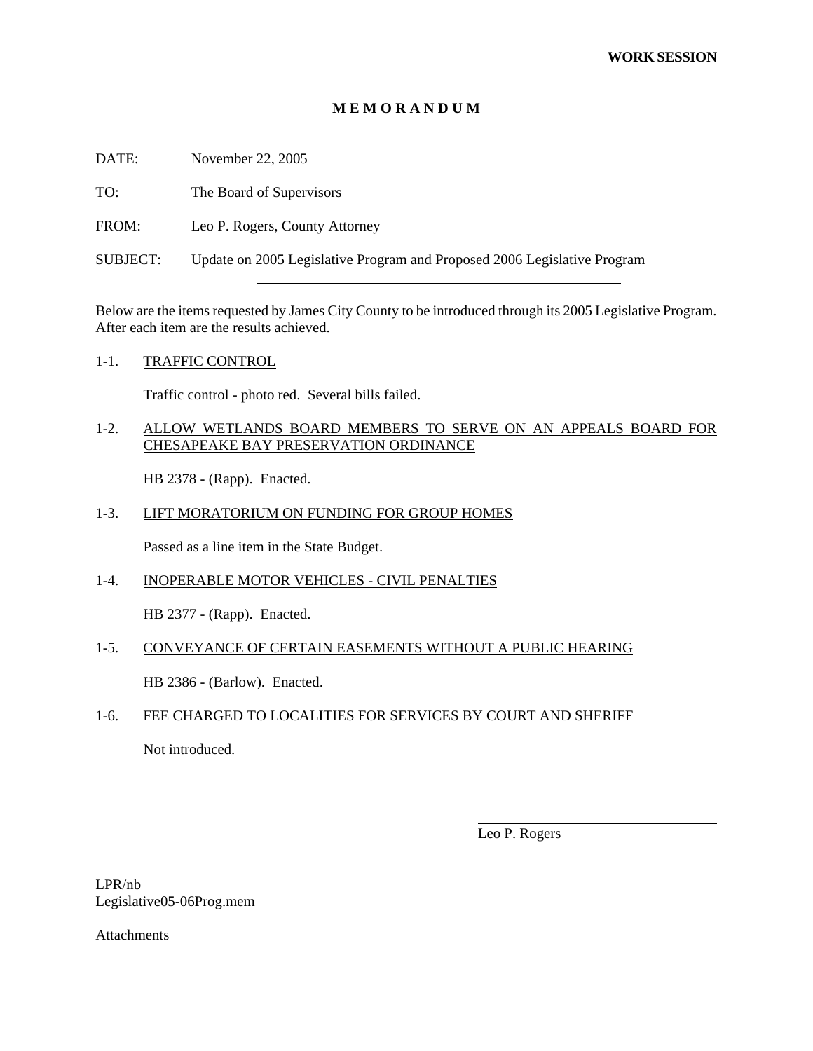#### **M E M O R A N D U M**

| DATE:           | November 22, 2005                                                        |
|-----------------|--------------------------------------------------------------------------|
| TO:             | The Board of Supervisors                                                 |
| FROM:           | Leo P. Rogers, County Attorney                                           |
| <b>SUBJECT:</b> | Update on 2005 Legislative Program and Proposed 2006 Legislative Program |

Below are the items requested by James City County to be introduced through its 2005 Legislative Program. After each item are the results achieved.

#### 1-1. TRAFFIC CONTROL

Traffic control - photo red. Several bills failed.

#### 1-2. ALLOW WETLANDS BOARD MEMBERS TO SERVE ON AN APPEALS BOARD FOR CHESAPEAKE BAY PRESERVATION ORDINANCE

HB 2378 - (Rapp). Enacted.

#### 1-3. LIFT MORATORIUM ON FUNDING FOR GROUP HOMES

Passed as a line item in the State Budget.

1-4. INOPERABLE MOTOR VEHICLES - CIVIL PENALTIES

HB 2377 - (Rapp). Enacted.

#### 1-5. CONVEYANCE OF CERTAIN EASEMENTS WITHOUT A PUBLIC HEARING

HB 2386 - (Barlow). Enacted.

#### 1-6. FEE CHARGED TO LOCALITIES FOR SERVICES BY COURT AND SHERIFF

Not introduced.

Leo P. Rogers

l

LPR/nb Legislative05-06Prog.mem

Attachments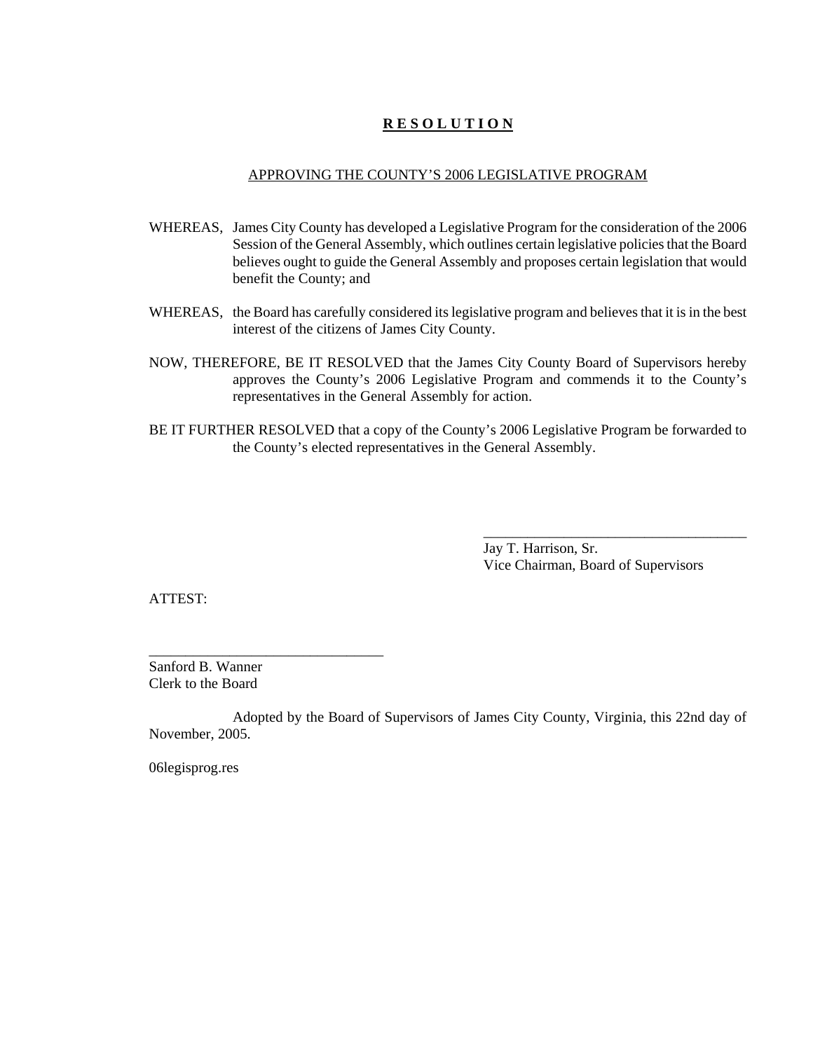# **R E S O L U T I O N**

#### APPROVING THE COUNTY'S 2006 LEGISLATIVE PROGRAM

- WHEREAS, James City County has developed a Legislative Program for the consideration of the 2006 Session of the General Assembly, which outlines certain legislative policies that the Board believes ought to guide the General Assembly and proposes certain legislation that would benefit the County; and
- WHEREAS, the Board has carefully considered its legislative program and believes that it is in the best interest of the citizens of James City County.
- NOW, THEREFORE, BE IT RESOLVED that the James City County Board of Supervisors hereby approves the County's 2006 Legislative Program and commends it to the County's representatives in the General Assembly for action.
- BE IT FURTHER RESOLVED that a copy of the County's 2006 Legislative Program be forwarded to the County's elected representatives in the General Assembly.

Jay T. Harrison, Sr. Vice Chairman, Board of Supervisors

\_\_\_\_\_\_\_\_\_\_\_\_\_\_\_\_\_\_\_\_\_\_\_\_\_\_\_\_\_\_\_\_\_\_\_\_

ATTEST:

Sanford B. Wanner Clerk to the Board

\_\_\_\_\_\_\_\_\_\_\_\_\_\_\_\_\_\_\_\_\_\_\_\_\_\_\_\_\_\_\_\_

Adopted by the Board of Supervisors of James City County, Virginia, this 22nd day of November, 2005.

06legisprog.res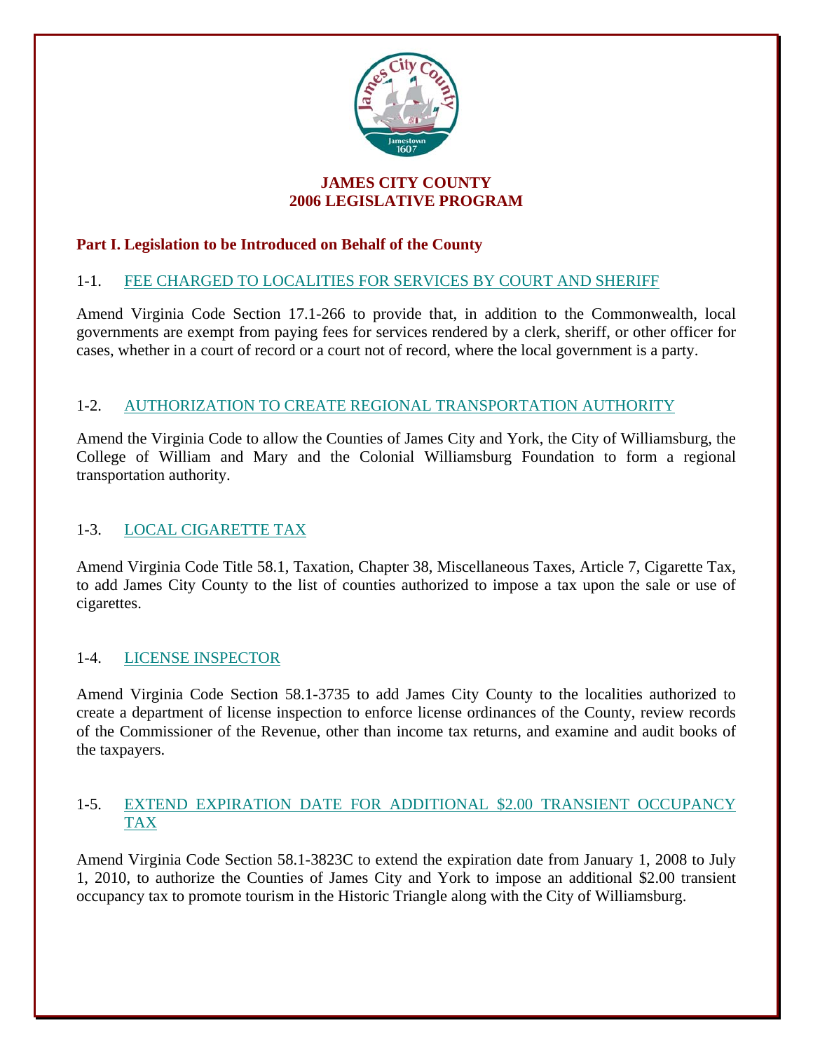

# **JAMES CITY COUNTY 2006 LEGISLATIVE PROGRAM**

# **Part I. Legislation to be Introduced on Behalf of the County**

# 1-1. FEE CHARGED TO LOCALITIES FOR SERVICES BY COURT AND SHERIFF

Amend Virginia Code Section 17.1-266 to provide that, in addition to the Commonwealth, local governments are exempt from paying fees for services rendered by a clerk, sheriff, or other officer for cases, whether in a court of record or a court not of record, where the local government is a party.

# 1-2. AUTHORIZATION TO CREATE REGIONAL TRANSPORTATION AUTHORITY

Amend the Virginia Code to allow the Counties of James City and York, the City of Williamsburg, the College of William and Mary and the Colonial Williamsburg Foundation to form a regional transportation authority.

# 1-3. LOCAL CIGARETTE TAX

Amend Virginia Code Title 58.1, Taxation, Chapter 38, Miscellaneous Taxes, Article 7, Cigarette Tax, to add James City County to the list of counties authorized to impose a tax upon the sale or use of cigarettes.

# 1-4. LICENSE INSPECTOR

Amend Virginia Code Section 58.1-3735 to add James City County to the localities authorized to create a department of license inspection to enforce license ordinances of the County, review records of the Commissioner of the Revenue, other than income tax returns, and examine and audit books of the taxpayers.

### 1-5. EXTEND EXPIRATION DATE FOR ADDITIONAL \$2.00 TRANSIENT OCCUPANCY TAX

Amend Virginia Code Section 58.1-3823C to extend the expiration date from January 1, 2008 to July 1, 2010, to authorize the Counties of James City and York to impose an additional \$2.00 transient occupancy tax to promote tourism in the Historic Triangle along with the City of Williamsburg.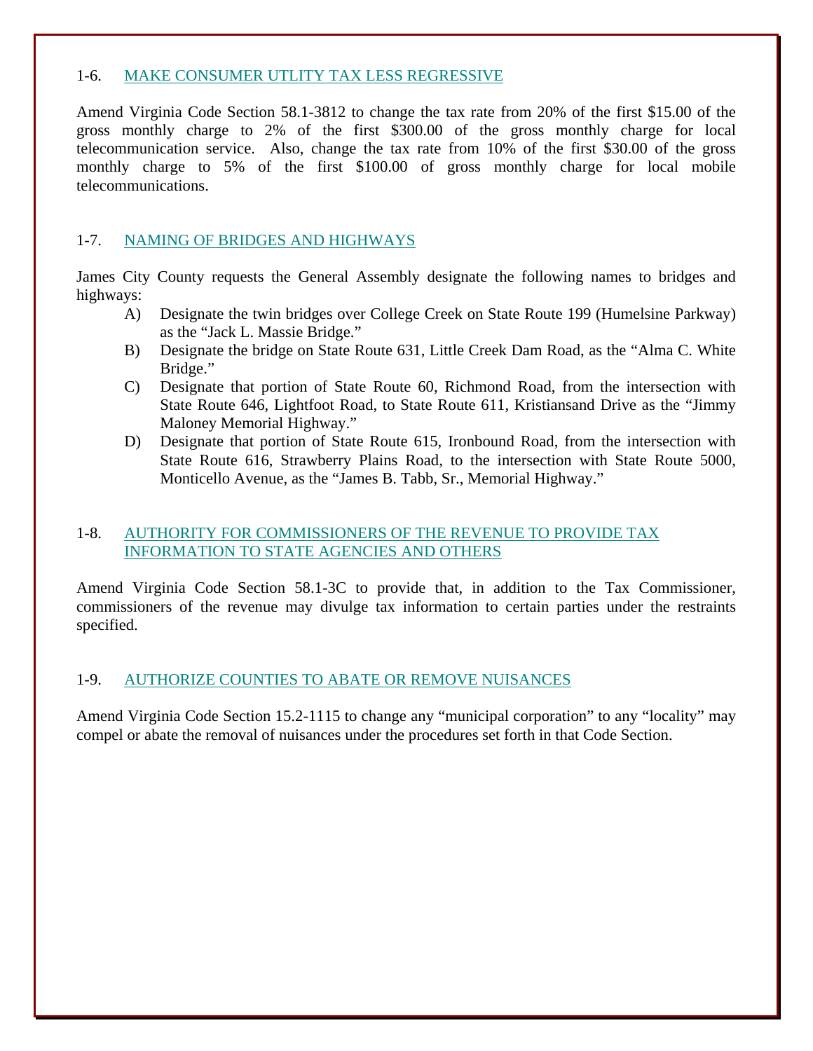### 1-6. MAKE CONSUMER UTLITY TAX LESS REGRESSIVE

Amend Virginia Code Section 58.1-3812 to change the tax rate from 20% of the first \$15.00 of the gross monthly charge to 2% of the first \$300.00 of the gross monthly charge for local telecommunication service. Also, change the tax rate from 10% of the first \$30.00 of the gross monthly charge to 5% of the first \$100.00 of gross monthly charge for local mobile telecommunications.

### 1-7. NAMING OF BRIDGES AND HIGHWAYS

James City County requests the General Assembly designate the following names to bridges and highways:

- A) Designate the twin bridges over College Creek on State Route 199 (Humelsine Parkway) as the "Jack L. Massie Bridge."
- B) Designate the bridge on State Route 631, Little Creek Dam Road, as the "Alma C. White Bridge."
- C) Designate that portion of State Route 60, Richmond Road, from the intersection with State Route 646, Lightfoot Road, to State Route 611, Kristiansand Drive as the "Jimmy Maloney Memorial Highway."
- D) Designate that portion of State Route 615, Ironbound Road, from the intersection with State Route 616, Strawberry Plains Road, to the intersection with State Route 5000, Monticello Avenue, as the "James B. Tabb, Sr., Memorial Highway."

# 1-8. AUTHORITY FOR COMMISSIONERS OF THE REVENUE TO PROVIDE TAX INFORMATION TO STATE AGENCIES AND OTHERS

Amend Virginia Code Section 58.1-3C to provide that, in addition to the Tax Commissioner, commissioners of the revenue may divulge tax information to certain parties under the restraints specified.

### 1-9. AUTHORIZE COUNTIES TO ABATE OR REMOVE NUISANCES

Amend Virginia Code Section 15.2-1115 to change any "municipal corporation" to any "locality" may compel or abate the removal of nuisances under the procedures set forth in that Code Section.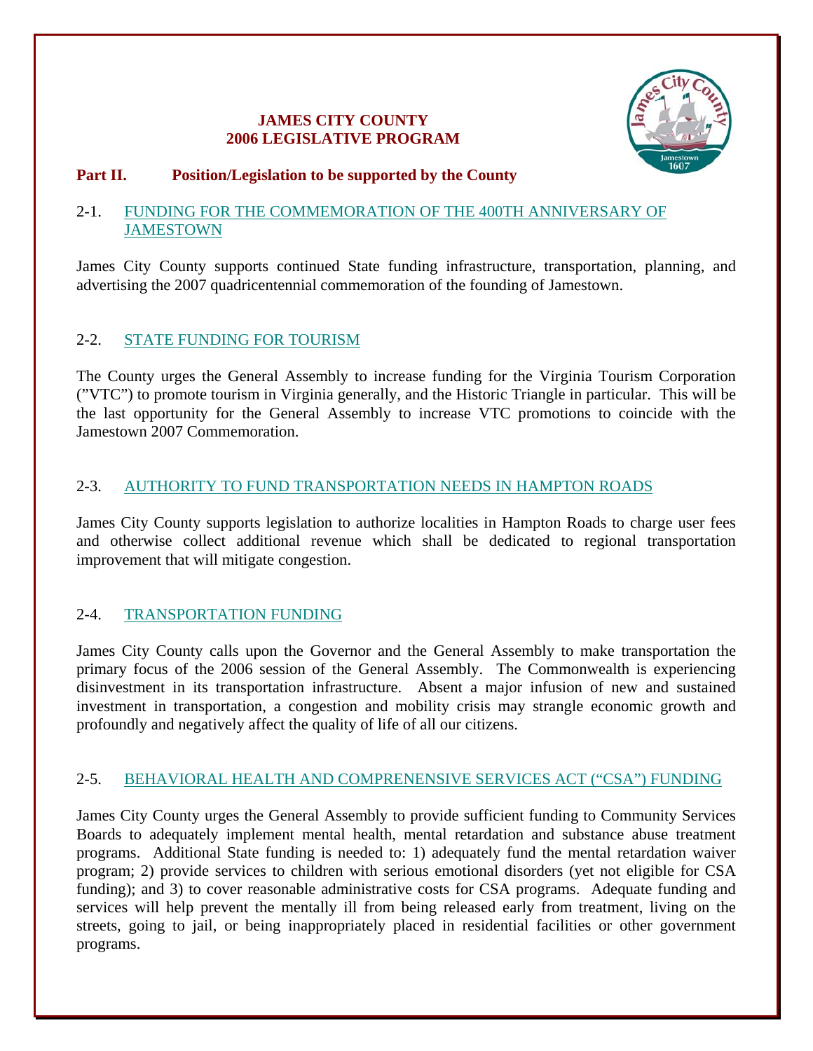# **JAMES CITY COUNTY 2006 LEGISLATIVE PROGRAM**



### **Part II. Position/Legislation to be supported by the County**

### 2-1. FUNDING FOR THE COMMEMORATION OF THE 400TH ANNIVERSARY OF **JAMESTOWN**

James City County supports continued State funding infrastructure, transportation, planning, and advertising the 2007 quadricentennial commemoration of the founding of Jamestown.

# 2-2. STATE FUNDING FOR TOURISM

The County urges the General Assembly to increase funding for the Virginia Tourism Corporation ("VTC") to promote tourism in Virginia generally, and the Historic Triangle in particular. This will be the last opportunity for the General Assembly to increase VTC promotions to coincide with the Jamestown 2007 Commemoration.

# 2-3. AUTHORITY TO FUND TRANSPORTATION NEEDS IN HAMPTON ROADS

James City County supports legislation to authorize localities in Hampton Roads to charge user fees and otherwise collect additional revenue which shall be dedicated to regional transportation improvement that will mitigate congestion.

# 2-4. TRANSPORTATION FUNDING

James City County calls upon the Governor and the General Assembly to make transportation the primary focus of the 2006 session of the General Assembly. The Commonwealth is experiencing disinvestment in its transportation infrastructure. Absent a major infusion of new and sustained investment in transportation, a congestion and mobility crisis may strangle economic growth and profoundly and negatively affect the quality of life of all our citizens.

# 2-5. BEHAVIORAL HEALTH AND COMPRENENSIVE SERVICES ACT ("CSA") FUNDING

James City County urges the General Assembly to provide sufficient funding to Community Services Boards to adequately implement mental health, mental retardation and substance abuse treatment programs. Additional State funding is needed to: 1) adequately fund the mental retardation waiver program; 2) provide services to children with serious emotional disorders (yet not eligible for CSA funding); and 3) to cover reasonable administrative costs for CSA programs. Adequate funding and services will help prevent the mentally ill from being released early from treatment, living on the streets, going to jail, or being inappropriately placed in residential facilities or other government programs.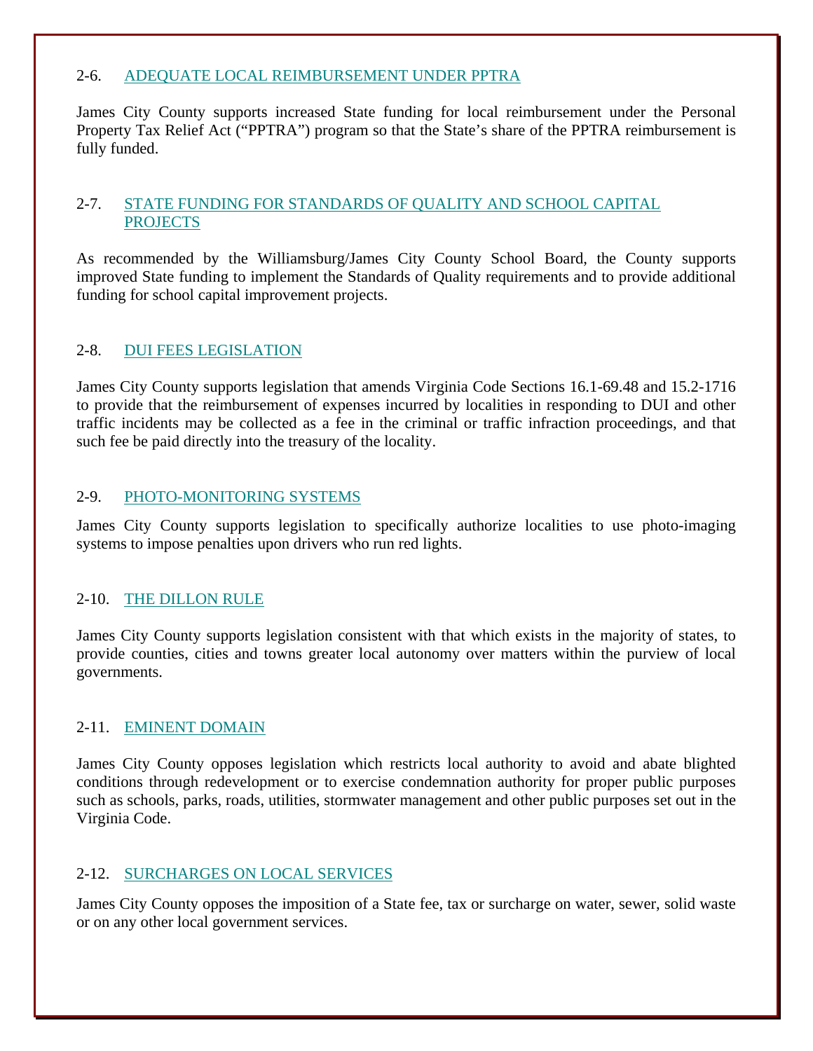# 2-6. ADEQUATE LOCAL REIMBURSEMENT UNDER PPTRA

James City County supports increased State funding for local reimbursement under the Personal Property Tax Relief Act ("PPTRA") program so that the State's share of the PPTRA reimbursement is fully funded.

# 2-7. STATE FUNDING FOR STANDARDS OF QUALITY AND SCHOOL CAPITAL **PROJECTS**

As recommended by the Williamsburg/James City County School Board, the County supports improved State funding to implement the Standards of Quality requirements and to provide additional funding for school capital improvement projects.

# 2-8. DUI FEES LEGISLATION

James City County supports legislation that amends Virginia Code Sections 16.1-69.48 and 15.2-1716 to provide that the reimbursement of expenses incurred by localities in responding to DUI and other traffic incidents may be collected as a fee in the criminal or traffic infraction proceedings, and that such fee be paid directly into the treasury of the locality.

# 2-9. PHOTO-MONITORING SYSTEMS

James City County supports legislation to specifically authorize localities to use photo-imaging systems to impose penalties upon drivers who run red lights.

# 2-10. THE DILLON RULE

James City County supports legislation consistent with that which exists in the majority of states, to provide counties, cities and towns greater local autonomy over matters within the purview of local governments.

# 2-11. EMINENT DOMAIN

James City County opposes legislation which restricts local authority to avoid and abate blighted conditions through redevelopment or to exercise condemnation authority for proper public purposes such as schools, parks, roads, utilities, stormwater management and other public purposes set out in the Virginia Code.

# 2-12. SURCHARGES ON LOCAL SERVICES

James City County opposes the imposition of a State fee, tax or surcharge on water, sewer, solid waste or on any other local government services.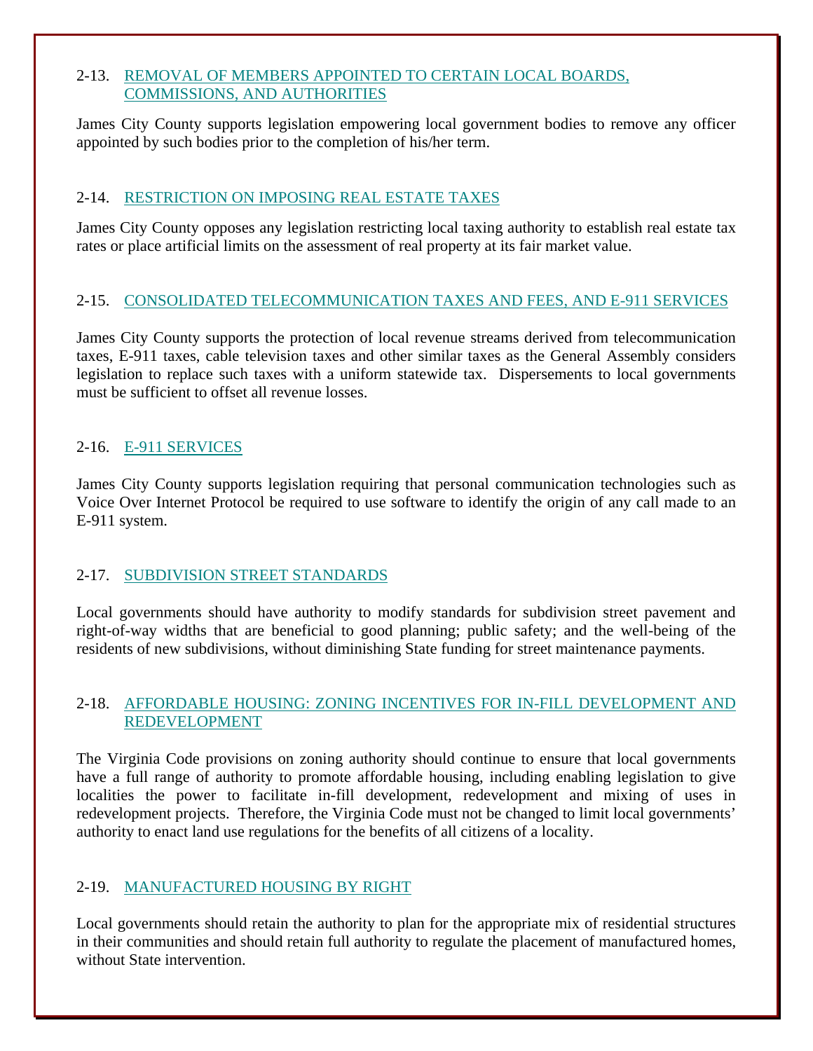# 2-13. REMOVAL OF MEMBERS APPOINTED TO CERTAIN LOCAL BOARDS, COMMISSIONS, AND AUTHORITIES

James City County supports legislation empowering local government bodies to remove any officer appointed by such bodies prior to the completion of his/her term.

# 2-14. RESTRICTION ON IMPOSING REAL ESTATE TAXES

James City County opposes any legislation restricting local taxing authority to establish real estate tax rates or place artificial limits on the assessment of real property at its fair market value.

# 2-15. CONSOLIDATED TELECOMMUNICATION TAXES AND FEES, AND E-911 SERVICES

James City County supports the protection of local revenue streams derived from telecommunication taxes, E-911 taxes, cable television taxes and other similar taxes as the General Assembly considers legislation to replace such taxes with a uniform statewide tax. Dispersements to local governments must be sufficient to offset all revenue losses.

# 2-16. E-911 SERVICES

James City County supports legislation requiring that personal communication technologies such as Voice Over Internet Protocol be required to use software to identify the origin of any call made to an E-911 system.

# 2-17. SUBDIVISION STREET STANDARDS

Local governments should have authority to modify standards for subdivision street pavement and right-of-way widths that are beneficial to good planning; public safety; and the well-being of the residents of new subdivisions, without diminishing State funding for street maintenance payments.

# 2-18. AFFORDABLE HOUSING: ZONING INCENTIVES FOR IN-FILL DEVELOPMENT AND REDEVELOPMENT

The Virginia Code provisions on zoning authority should continue to ensure that local governments have a full range of authority to promote affordable housing, including enabling legislation to give localities the power to facilitate in-fill development, redevelopment and mixing of uses in redevelopment projects. Therefore, the Virginia Code must not be changed to limit local governments' authority to enact land use regulations for the benefits of all citizens of a locality.

# 2-19. MANUFACTURED HOUSING BY RIGHT

Local governments should retain the authority to plan for the appropriate mix of residential structures in their communities and should retain full authority to regulate the placement of manufactured homes, without State intervention.